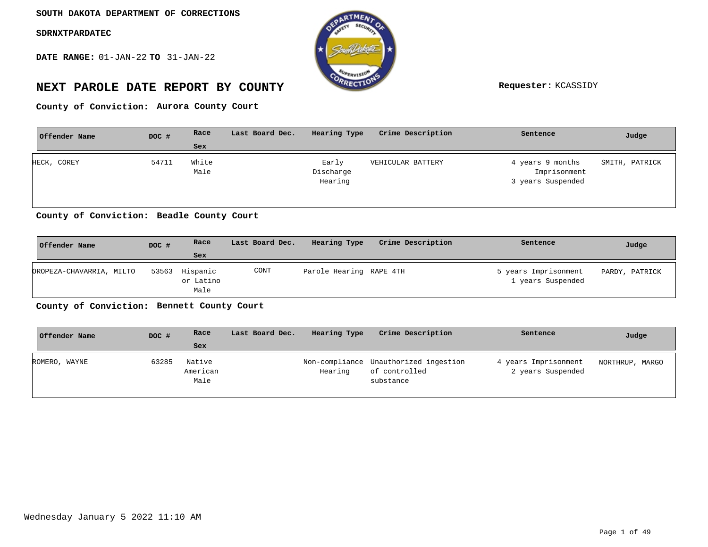**DATE RANGE:** 01-JAN-22 **TO** 31-JAN-22



# **NEXT PAROLE DATE REPORT BY COUNTY Requester:** KCASSIDY

County of Conviction: Aurora County Court

| Offender Name | DOC # | Race          | Last Board Dec. | Hearing Type                  | Crime Description | Sentence                                              | Judge          |
|---------------|-------|---------------|-----------------|-------------------------------|-------------------|-------------------------------------------------------|----------------|
|               |       | Sex           |                 |                               |                   |                                                       |                |
| HECK, COREY   | 54711 | White<br>Male |                 | Early<br>Discharge<br>Hearing | VEHICULAR BATTERY | 4 years 9 months<br>Imprisonment<br>3 years Suspended | SMITH, PATRICK |

**Beadle County Court County of Conviction:**

| Offender Name            | DOC # | Race                                | Last Board Dec. | Hearing Type            | Crime Description | Sentence                                  | Judge          |
|--------------------------|-------|-------------------------------------|-----------------|-------------------------|-------------------|-------------------------------------------|----------------|
|                          |       | Sex                                 |                 |                         |                   |                                           |                |
| OROPEZA-CHAVARRIA, MILTO |       | 53563 Hispanic<br>or Latino<br>Male | CONT            | Parole Hearing RAPE 4TH |                   | 5 years Imprisonment<br>1 years Suspended | PARDY, PATRICK |

**Bennett County Court County of Conviction:**

| Offender Name | DOC # | Race                       | Last Board Dec. | Hearing Type | Crime Description                                                   | Sentence                                  | Judge           |
|---------------|-------|----------------------------|-----------------|--------------|---------------------------------------------------------------------|-------------------------------------------|-----------------|
|               |       | Sex                        |                 |              |                                                                     |                                           |                 |
| ROMERO, WAYNE | 63285 | Native<br>American<br>Male |                 | Hearing      | Non-compliance Unauthorized ingestion<br>of controlled<br>substance | 4 years Imprisonment<br>2 years Suspended | NORTHRUP, MARGO |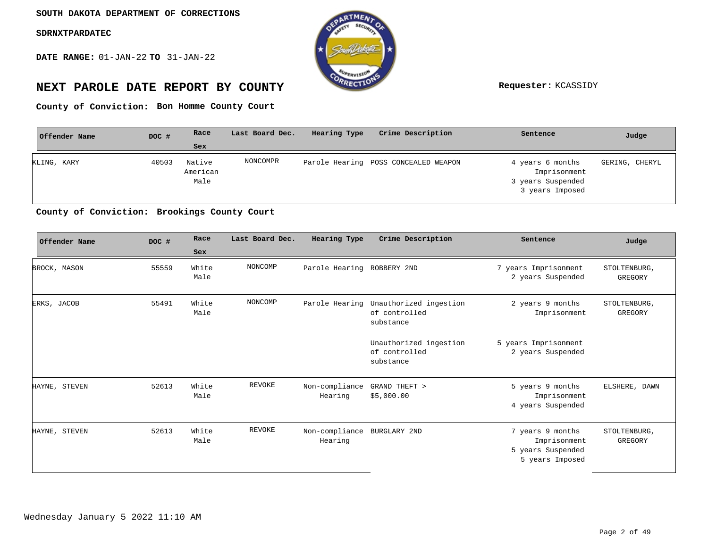**DATE RANGE:** 01-JAN-22 **TO** 31-JAN-22



# **NEXT PAROLE DATE REPORT BY COUNTY Requester:** KCASSIDY

**Bon Homme County Court County of Conviction:**

| Offender Name | DOC # | Race                       | Last Board Dec. | Hearing Type | Crime Description                    | Sentence                                                                 | Judge          |
|---------------|-------|----------------------------|-----------------|--------------|--------------------------------------|--------------------------------------------------------------------------|----------------|
|               |       | Sex                        |                 |              |                                      |                                                                          |                |
| KLING, KARY   | 40503 | Native<br>American<br>Male | NONCOMPR        |              | Parole Hearing POSS CONCEALED WEAPON | 4 years 6 months<br>Imprisonment<br>3 years Suspended<br>3 years Imposed | GERING, CHERYL |

### **Brookings County Court County of Conviction:**

| Offender Name | DOC # | Race          | Last Board Dec. | Hearing Type               | Crime Description                                    | Sentence                                                                 | Judge                   |
|---------------|-------|---------------|-----------------|----------------------------|------------------------------------------------------|--------------------------------------------------------------------------|-------------------------|
|               |       | Sex           |                 |                            |                                                      |                                                                          |                         |
| BROCK, MASON  | 55559 | White<br>Male | NONCOMP         | Parole Hearing ROBBERY 2ND |                                                      | 7 years Imprisonment<br>2 years Suspended                                | STOLTENBURG,<br>GREGORY |
| ERKS, JACOB   | 55491 | White<br>Male | NONCOMP         | Parole Hearing             | Unauthorized ingestion<br>of controlled<br>substance | 2 years 9 months<br>Imprisonment                                         | STOLTENBURG,<br>GREGORY |
|               |       |               |                 |                            | Unauthorized ingestion<br>of controlled<br>substance | 5 years Imprisonment<br>2 years Suspended                                |                         |
| HAYNE, STEVEN | 52613 | White<br>Male | REVOKE          | Non-compliance<br>Hearing  | GRAND THEFT ><br>\$5,000.00                          | 5 years 9 months<br>Imprisonment<br>4 years Suspended                    | ELSHERE, DAWN           |
| HAYNE, STEVEN | 52613 | White<br>Male | REVOKE          | Non-compliance<br>Hearing  | BURGLARY 2ND                                         | 7 years 9 months<br>Imprisonment<br>5 years Suspended<br>5 years Imposed | STOLTENBURG,<br>GREGORY |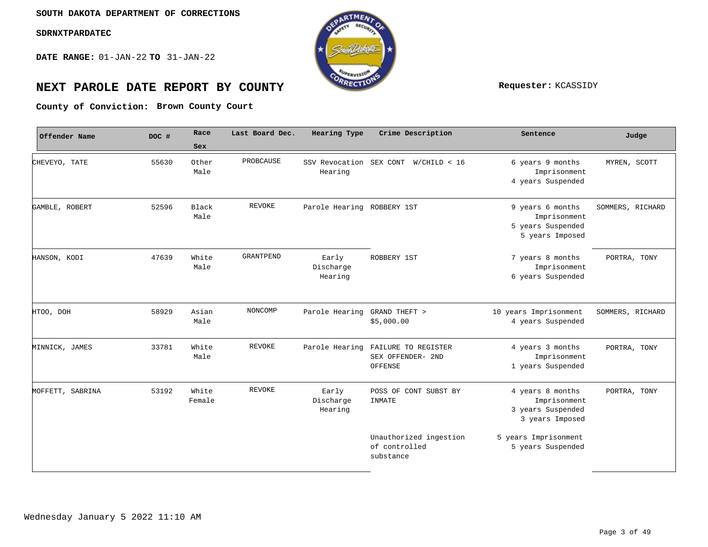**DATE RANGE:** 01-JAN-22 **TO** 31-JAN-22



# **NEXT PAROLE DATE REPORT BY COUNTY REPORT BY ALL PROPERTY REQUESTER:** KCASSIDY

**Brown County Court County of Conviction:**

| Offender Name    | DOC # | Race            | Last Board Dec. | Hearing Type                       | Crime Description                                    | Sentence                                                                 | Judge            |
|------------------|-------|-----------------|-----------------|------------------------------------|------------------------------------------------------|--------------------------------------------------------------------------|------------------|
|                  |       | Sex             |                 |                                    |                                                      |                                                                          |                  |
| CHEVEYO, TATE    | 55630 | Other<br>Male   | PROBCAUSE       | SSV Revocation SEX CONT<br>Hearing | W/CHILD < 16                                         | 6 years 9 months<br>Imprisonment<br>4 years Suspended                    | MYREN, SCOTT     |
| GAMBLE, ROBERT   | 52596 | Black<br>Male   | <b>REVOKE</b>   | Parole Hearing ROBBERY 1ST         |                                                      | 9 years 6 months<br>Imprisonment<br>5 years Suspended<br>5 years Imposed | SOMMERS, RICHARD |
| HANSON, KODI     | 47639 | White<br>Male   | GRANTPEND       | Early<br>Discharge<br>Hearing      | ROBBERY 1ST                                          | 7 years 8 months<br>Imprisonment<br>6 years Suspended                    | PORTRA, TONY     |
| HTOO, DOH        | 58929 | Asian<br>Male   | NONCOMP         | Parole Hearing                     | GRAND THEFT ><br>\$5,000.00                          | 10 years Imprisonment<br>4 years Suspended                               | SOMMERS, RICHARD |
| MINNICK, JAMES   | 33781 | White<br>Male   | <b>REVOKE</b>   | Parole Hearing                     | FAILURE TO REGISTER<br>SEX OFFENDER- 2ND<br>OFFENSE  | 4 years 3 months<br>Imprisonment<br>1 years Suspended                    | PORTRA, TONY     |
| MOFFETT, SABRINA | 53192 | White<br>Female | <b>REVOKE</b>   | Early<br>Discharge<br>Hearing      | POSS OF CONT SUBST BY<br>INMATE                      | 4 years 8 months<br>Imprisonment<br>3 years Suspended<br>3 years Imposed | PORTRA, TONY     |
|                  |       |                 |                 |                                    | Unauthorized ingestion<br>of controlled<br>substance | 5 years Imprisonment<br>5 years Suspended                                |                  |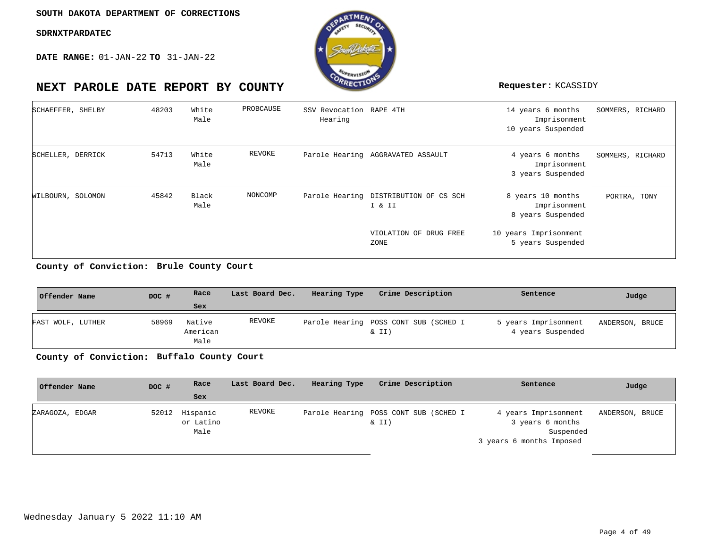**DATE RANGE:** 01-JAN-22 **TO** 31-JAN-22



| SCHAEFFER, SHELBY | 48203 | White<br>Male | PROBCAUSE | SSV Revocation RAPE 4TH<br>Hearing |                                                 | 14 years 6 months<br>Imprisonment<br>10 years Suspended | SOMMERS, RICHARD |
|-------------------|-------|---------------|-----------|------------------------------------|-------------------------------------------------|---------------------------------------------------------|------------------|
| SCHELLER, DERRICK | 54713 | White<br>Male | REVOKE    |                                    | Parole Hearing AGGRAVATED ASSAULT               | 4 years 6 months<br>Imprisonment<br>3 years Suspended   | SOMMERS, RICHARD |
| WILBOURN, SOLOMON | 45842 | Black<br>Male | NONCOMP   |                                    | Parole Hearing DISTRIBUTION OF CS SCH<br>I & II | 8 years 10 months<br>Imprisonment<br>8 years Suspended  | PORTRA, TONY     |
|                   |       |               |           |                                    | VIOLATION OF DRUG FREE<br>ZONE                  | 10 years Imprisonment<br>5 years Suspended              |                  |

**Brule County Court County of Conviction:**

| Offender Name     | DOC # | Race                       | Last Board Dec. | Hearing Type | Crime Description                              | Sentence                                  | Judge           |
|-------------------|-------|----------------------------|-----------------|--------------|------------------------------------------------|-------------------------------------------|-----------------|
|                   |       | Sex                        |                 |              |                                                |                                           |                 |
| FAST WOLF, LUTHER | 58969 | Native<br>American<br>Male | REVOKE          |              | Parole Hearing POSS CONT SUB (SCHED I<br>& II) | 5 years Imprisonment<br>4 years Suspended | ANDERSON, BRUCE |

**Buffalo County Court County of Conviction:**

| DOC # | Race              | Last Board Dec. | Hearing Type | Crime Description | Sentence                                              | Judge                    |
|-------|-------------------|-----------------|--------------|-------------------|-------------------------------------------------------|--------------------------|
|       | Sex               |                 |              |                   |                                                       |                          |
|       | or Latino<br>Male | REVOKE          |              | $\&$ II)          | 4 years Imprisonment<br>3 years 6 months<br>Suspended | ANDERSON,<br>BRUCE       |
|       |                   | 52012 Hispanic  |              |                   | Parole Hearing POSS CONT SUB (SCHED I                 | 3 years 6 months Imposed |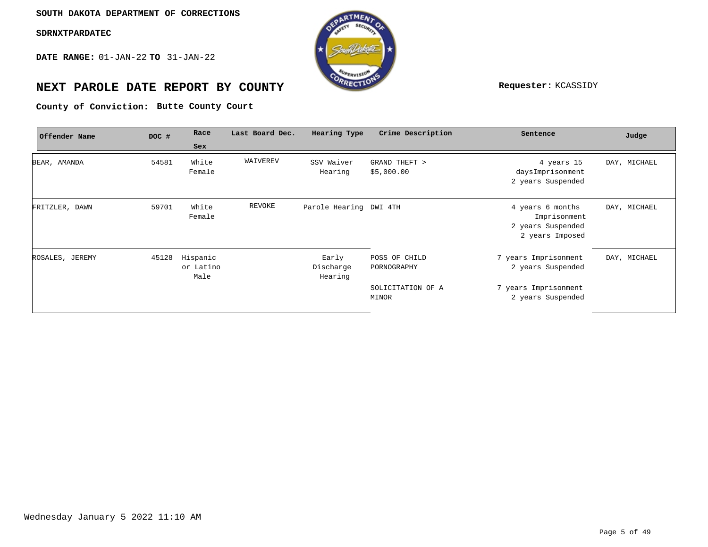**DATE RANGE:** 01-JAN-22 **TO** 31-JAN-22



# **NEXT PAROLE DATE REPORT BY COUNTY Requester:** KCASSIDY

**Butte County Court County of Conviction:**

| Offender Name   | DOC # | Race                          | Last Board Dec. | Hearing Type                  | Crime Description            | Sentence                                                                 | Judge        |
|-----------------|-------|-------------------------------|-----------------|-------------------------------|------------------------------|--------------------------------------------------------------------------|--------------|
|                 |       | Sex                           |                 |                               |                              |                                                                          |              |
| BEAR, AMANDA    | 54581 | White<br>Female               | WAIVEREV        | SSV Waiver<br>Hearing         | GRAND THEFT ><br>\$5,000.00  | 4 years 15<br>daysImprisonment<br>2 years Suspended                      | DAY, MICHAEL |
| FRITZLER, DAWN  | 59701 | White<br>Female               | REVOKE          | Parole Hearing DWI 4TH        |                              | 4 years 6 months<br>Imprisonment<br>2 years Suspended<br>2 years Imposed | DAY, MICHAEL |
| ROSALES, JEREMY | 45128 | Hispanic<br>or Latino<br>Male |                 | Early<br>Discharge<br>Hearing | POSS OF CHILD<br>PORNOGRAPHY | 7 years Imprisonment<br>2 years Suspended                                | DAY, MICHAEL |
|                 |       |                               |                 |                               | SOLICITATION OF A<br>MINOR   | 7 years Imprisonment<br>2 years Suspended                                |              |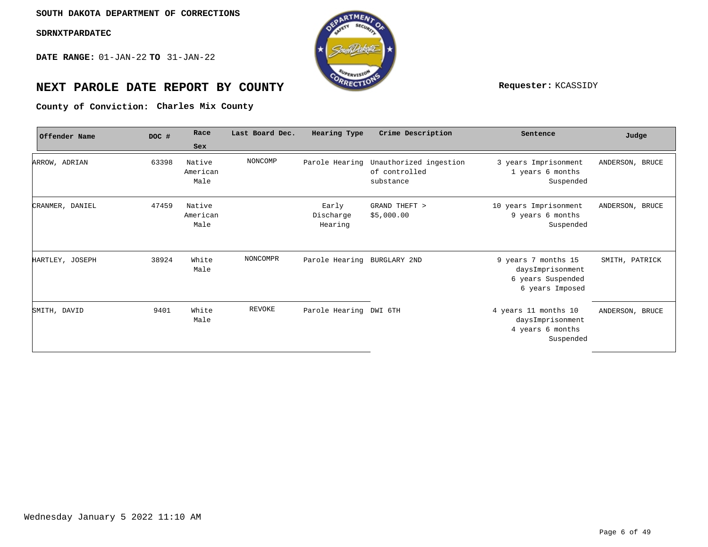**DATE RANGE:** 01-JAN-22 **TO** 31-JAN-22



# **NEXT PAROLE DATE REPORT BY COUNTY Requester:** KCASSIDY

County of Conviction: Charles Mix County

| Offender Name   | DOC # | Race                       | Last Board Dec. | Hearing Type                  | Crime Description                                    | Sentence                                                                        | Judge           |
|-----------------|-------|----------------------------|-----------------|-------------------------------|------------------------------------------------------|---------------------------------------------------------------------------------|-----------------|
|                 |       | Sex                        |                 |                               |                                                      |                                                                                 |                 |
| ARROW, ADRIAN   | 63398 | Native<br>American<br>Male | NONCOMP         | Parole Hearing                | Unauthorized ingestion<br>of controlled<br>substance | 3 years Imprisonment<br>1 years 6 months<br>Suspended                           | ANDERSON, BRUCE |
| CRANMER, DANIEL | 47459 | Native<br>American<br>Male |                 | Early<br>Discharge<br>Hearing | GRAND THEFT ><br>\$5,000.00                          | 10 years Imprisonment<br>9 years 6 months<br>Suspended                          | ANDERSON, BRUCE |
| HARTLEY, JOSEPH | 38924 | White<br>Male              | NONCOMPR        | Parole Hearing BURGLARY 2ND   |                                                      | 9 years 7 months 15<br>daysImprisonment<br>6 years Suspended<br>6 years Imposed | SMITH, PATRICK  |
| SMITH, DAVID    | 9401  | White<br>Male              | <b>REVOKE</b>   | Parole Hearing DWI 6TH        |                                                      | 4 years 11 months 10<br>daysImprisonment<br>4 years 6 months<br>Suspended       | ANDERSON, BRUCE |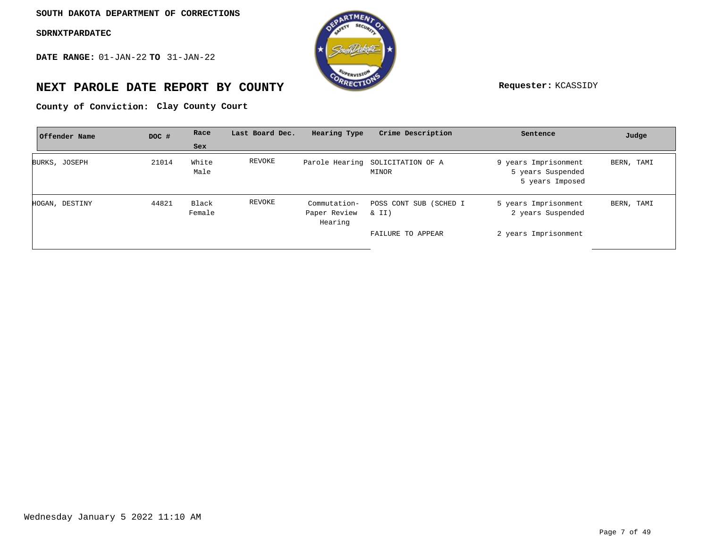**DATE RANGE:** 01-JAN-22 **TO** 31-JAN-22



## **NEXT PAROLE DATE REPORT BY COUNTY Requester:** KCASSIDY

County of Conviction: Clay County Court

| Offender Name  | DOC # | Race            | Last Board Dec. | Hearing Type                            | Crime Description                         | Sentence                                                     | Judge      |
|----------------|-------|-----------------|-----------------|-----------------------------------------|-------------------------------------------|--------------------------------------------------------------|------------|
|                |       | Sex             |                 |                                         |                                           |                                                              |            |
| BURKS, JOSEPH  | 21014 | White<br>Male   | REVOKE          |                                         | Parole Hearing SOLICITATION OF A<br>MINOR | 9 years Imprisonment<br>5 years Suspended<br>5 years Imposed | BERN, TAMI |
| HOGAN, DESTINY | 44821 | Black<br>Female | REVOKE          | Commutation-<br>Paper Review<br>Hearing | POSS CONT SUB (SCHED I<br>& II)           | 5 years Imprisonment<br>2 years Suspended                    | BERN, TAMI |
|                |       |                 |                 |                                         | FAILURE TO APPEAR                         | 2 years Imprisonment                                         |            |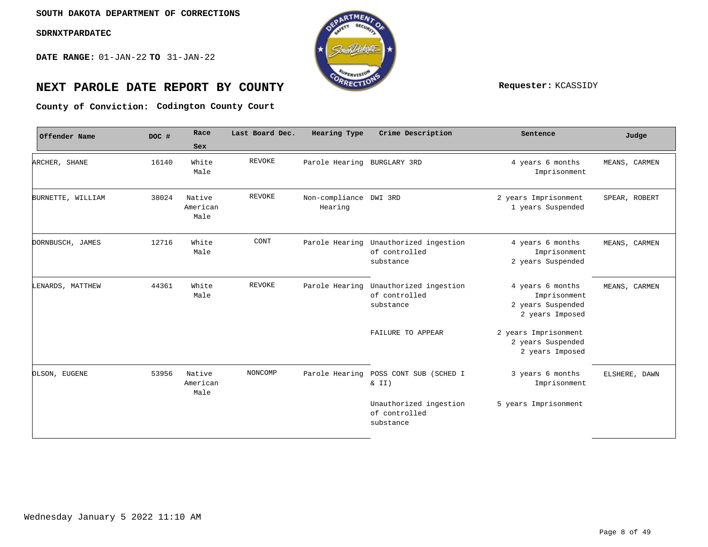**DATE RANGE:** 01-JAN-22 **TO** 31-JAN-22



# **NEXT PAROLE DATE REPORT BY COUNTY Requester:** KCASSIDY

**Codington County Court County of Conviction:**

| DOC # | Race                       | Last Board Dec. | Hearing Type | Crime Description                                    | Sentence                                                                 | Judge         |
|-------|----------------------------|-----------------|--------------|------------------------------------------------------|--------------------------------------------------------------------------|---------------|
|       | <b>Sex</b>                 |                 |              |                                                      |                                                                          |               |
| 16140 | White<br>Male              | <b>REVOKE</b>   |              |                                                      | 4 years 6 months<br>Imprisonment                                         | MEANS, CARMEN |
| 38024 | Native<br>American<br>Male | REVOKE          | Hearing      |                                                      | 2 years Imprisonment<br>1 years Suspended                                | SPEAR, ROBERT |
| 12716 | White<br>Male              | CONT            |              | Unauthorized ingestion<br>of controlled<br>substance | 4 years 6 months<br>Imprisonment<br>2 years Suspended                    | MEANS, CARMEN |
| 44361 | White<br>Male              | <b>REVOKE</b>   |              | Unauthorized ingestion<br>of controlled<br>substance | 4 years 6 months<br>Imprisonment<br>2 years Suspended<br>2 years Imposed | MEANS, CARMEN |
|       |                            |                 |              | FAILURE TO APPEAR                                    | 2 years Imprisonment<br>2 years Suspended<br>2 years Imposed             |               |
| 53956 | Native<br>American<br>Male | NONCOMP         |              | POSS CONT SUB (SCHED I<br>& II)                      | 3 years 6 months<br>Imprisonment                                         | ELSHERE, DAWN |
|       |                            |                 |              | Unauthorized ingestion<br>of controlled<br>substance | 5 years Imprisonment                                                     |               |
|       |                            |                 |              | Parole Hearing<br>Parole Hearing<br>Parole Hearing   | Parole Hearing BURGLARY 3RD<br>Non-compliance DWI 3RD                    |               |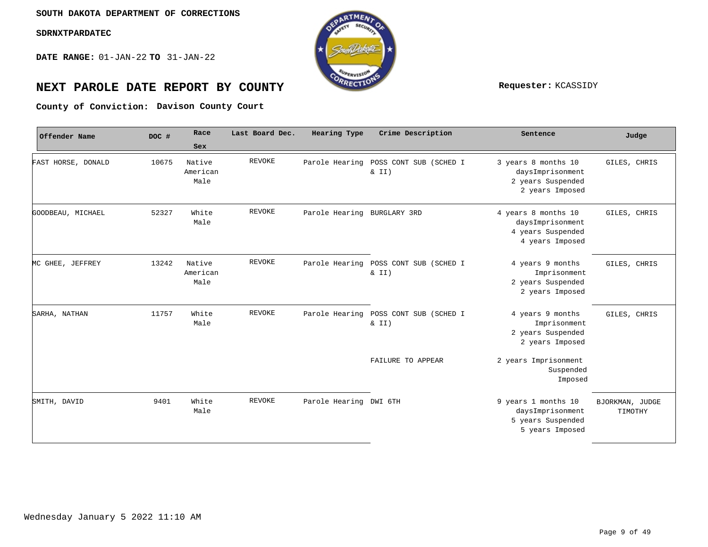**DATE RANGE:** 01-JAN-22 **TO** 31-JAN-22



# **NEXT PAROLE DATE REPORT BY COUNTY Requester:** KCASSIDY

**Davison County Court County of Conviction:**

| Offender Name      | DOC # | Race                       | Last Board Dec. | <b>Hearing Type</b>         | Crime Description                  | Sentence                                                                        | Judge                      |
|--------------------|-------|----------------------------|-----------------|-----------------------------|------------------------------------|---------------------------------------------------------------------------------|----------------------------|
|                    |       | Sex                        |                 |                             |                                    |                                                                                 |                            |
| FAST HORSE, DONALD | 10675 | Native<br>American<br>Male | <b>REVOKE</b>   | Parole Hearing              | POSS CONT SUB (SCHED I<br>$\& II)$ | 3 years 8 months 10<br>daysImprisonment<br>2 years Suspended<br>2 years Imposed | GILES, CHRIS               |
| GOODBEAU, MICHAEL  | 52327 | White<br>Male              | <b>REVOKE</b>   | Parole Hearing BURGLARY 3RD |                                    | 4 years 8 months 10<br>daysImprisonment<br>4 years Suspended<br>4 years Imposed | GILES, CHRIS               |
| MC GHEE, JEFFREY   | 13242 | Native<br>American<br>Male | <b>REVOKE</b>   | Parole Hearing              | POSS CONT SUB (SCHED I<br>$\& II)$ | 4 years 9 months<br>Imprisonment<br>2 years Suspended<br>2 years Imposed        | GILES, CHRIS               |
| SARHA, NATHAN      | 11757 | White<br>Male              | <b>REVOKE</b>   | Parole Hearing              | POSS CONT SUB (SCHED I<br>$\& II)$ | 4 years 9 months<br>Imprisonment<br>2 years Suspended<br>2 years Imposed        | GILES, CHRIS               |
|                    |       |                            |                 |                             | FAILURE TO APPEAR                  | 2 years Imprisonment<br>Suspended<br>Imposed                                    |                            |
| SMITH, DAVID       | 9401  | White<br>Male              | <b>REVOKE</b>   | Parole Hearing DWI 6TH      |                                    | 9 years 1 months 10<br>daysImprisonment<br>5 years Suspended<br>5 years Imposed | BJORKMAN, JUDGE<br>TIMOTHY |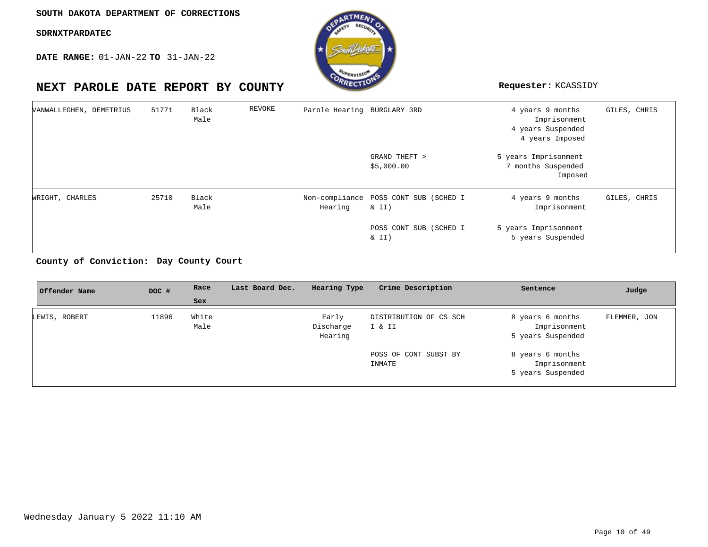**DATE RANGE:** 01-JAN-22 **TO** 31-JAN-22



| VANWALLEGHEN, DEMETRIUS | 51771 | Black<br>Male | REVOKE | Parole Hearing BURGLARY 3RD |                                                   | 4 years 9 months<br>Imprisonment<br>4 years Suspended<br>4 years Imposed | GILES, CHRIS |
|-------------------------|-------|---------------|--------|-----------------------------|---------------------------------------------------|--------------------------------------------------------------------------|--------------|
|                         |       |               |        |                             | GRAND THEFT ><br>\$5,000.00                       | 5 years Imprisonment<br>7 months Suspended<br>Imposed                    |              |
| WRIGHT, CHARLES         | 25710 | Black<br>Male |        | Hearing                     | Non-compliance POSS CONT SUB (SCHED I<br>$\&$ II) | 4 years 9 months<br>Imprisonment                                         | GILES, CHRIS |
|                         |       |               |        |                             | POSS CONT SUB (SCHED I<br>$\&$ II)                | 5 years Imprisonment<br>5 years Suspended                                |              |

### **Day County Court County of Conviction:**

| DOC # | Race          | Last Board Dec. | Hearing Type                  | Crime Description                                         | Sentence                                                                                                       | Judge        |
|-------|---------------|-----------------|-------------------------------|-----------------------------------------------------------|----------------------------------------------------------------------------------------------------------------|--------------|
|       | Sex           |                 |                               |                                                           |                                                                                                                |              |
| 11896 | White<br>Male |                 | Early<br>Discharge<br>Hearing | DISTRIBUTION OF CS SCH<br>POSS OF CONT SUBST BY<br>INMATE | 8 years 6 months<br>Imprisonment<br>5 years Suspended<br>8 years 6 months<br>Imprisonment<br>5 years Suspended | FLEMMER, JON |
|       |               |                 |                               |                                                           | I & II                                                                                                         |              |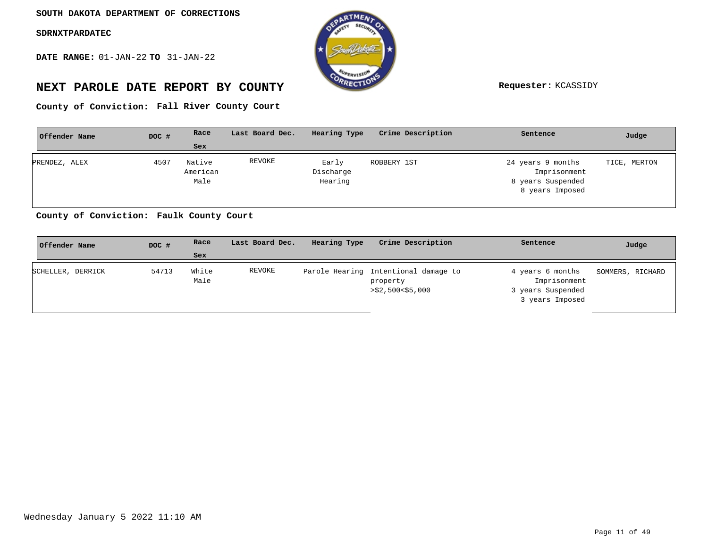**DATE RANGE:** 01-JAN-22 **TO** 31-JAN-22



# **NEXT PAROLE DATE REPORT BY COUNTY Requester:** KCASSIDY

**Fall River County Court County of Conviction:**

| Offender Name | DOC # | Race     | Last Board Dec. | Hearing Type | Crime Description | Sentence          | Judge        |
|---------------|-------|----------|-----------------|--------------|-------------------|-------------------|--------------|
|               |       | Sex      |                 |              |                   |                   |              |
| PRENDEZ, ALEX | 4507  | Native   | REVOKE          | Early        | ROBBERY 1ST       | 24 years 9 months | TICE, MERTON |
|               |       | American |                 | Discharge    |                   | Imprisonment      |              |
|               |       | Male     |                 | Hearing      |                   | 8 years Suspended |              |
|               |       |          |                 |              |                   | 8 years Imposed   |              |
|               |       |          |                 |              |                   |                   |              |

**Faulk County Court County of Conviction:**

| Offender Name     | DOC # | Race          | Last Board Dec. | Hearing Type | Crime Description                                                    | Sentence                                                                 | Judge            |
|-------------------|-------|---------------|-----------------|--------------|----------------------------------------------------------------------|--------------------------------------------------------------------------|------------------|
|                   |       | Sex           |                 |              |                                                                      |                                                                          |                  |
| SCHELLER, DERRICK | 54713 | White<br>Male | REVOKE          |              | Parole Hearing Intentional damage to<br>property<br>>\$2,500<\$5,000 | 4 years 6 months<br>Imprisonment<br>3 years Suspended<br>3 years Imposed | SOMMERS, RICHARD |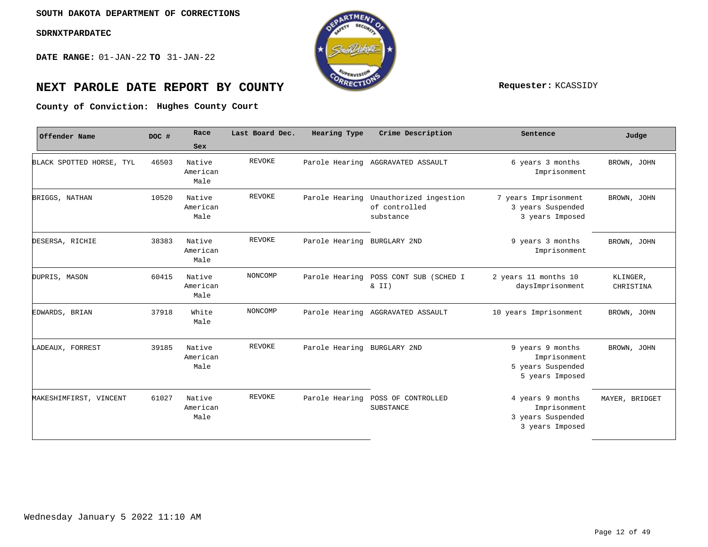**DATE RANGE:** 01-JAN-22 **TO** 31-JAN-22



# **NEXT PAROLE DATE REPORT BY COUNTY REPORT BY ALL PROPERTY REQUESTER:** KCASSIDY

**Hughes County Court County of Conviction:**

| Offender Name            | DOC # | Race                       | Last Board Dec. | Hearing Type                | Crime Description                                    | Sentence                                                                 | Judge                 |
|--------------------------|-------|----------------------------|-----------------|-----------------------------|------------------------------------------------------|--------------------------------------------------------------------------|-----------------------|
|                          |       | Sex                        |                 |                             |                                                      |                                                                          |                       |
| BLACK SPOTTED HORSE, TYL | 46503 | Native<br>American<br>Male | <b>REVOKE</b>   |                             | Parole Hearing AGGRAVATED ASSAULT                    | 6 years 3 months<br>Imprisonment                                         | BROWN, JOHN           |
| BRIGGS, NATHAN           | 10520 | Native<br>American<br>Male | <b>REVOKE</b>   | Parole Hearing              | Unauthorized ingestion<br>of controlled<br>substance | 7 years Imprisonment<br>3 years Suspended<br>3 years Imposed             | BROWN, JOHN           |
| DESERSA, RICHIE          | 38383 | Native<br>American<br>Male | <b>REVOKE</b>   | Parole Hearing BURGLARY 2ND |                                                      | 9 years 3 months<br>Imprisonment                                         | BROWN, JOHN           |
| DUPRIS, MASON            | 60415 | Native<br>American<br>Male | NONCOMP         | Parole Hearing              | POSS CONT SUB (SCHED I<br>$\&$ II)                   | 2 years 11 months 10<br>daysImprisonment                                 | KLINGER,<br>CHRISTINA |
| EDWARDS, BRIAN           | 37918 | White<br>Male              | NONCOMP         |                             | Parole Hearing AGGRAVATED ASSAULT                    | 10 years Imprisonment                                                    | BROWN, JOHN           |
| LADEAUX, FORREST         | 39185 | Native<br>American<br>Male | <b>REVOKE</b>   | Parole Hearing BURGLARY 2ND |                                                      | 9 years 9 months<br>Imprisonment<br>5 years Suspended<br>5 years Imposed | BROWN, JOHN           |
| MAKESHIMFIRST, VINCENT   | 61027 | Native<br>American<br>Male | <b>REVOKE</b>   |                             | Parole Hearing POSS OF CONTROLLED<br>SUBSTANCE       | 4 years 9 months<br>Imprisonment<br>3 years Suspended<br>3 years Imposed | MAYER, BRIDGET        |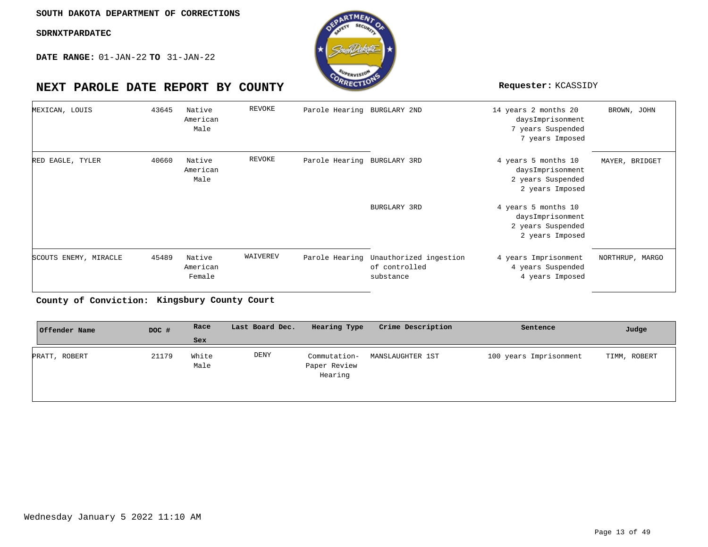**DATE RANGE:** 01-JAN-22 **TO** 31-JAN-22

# **NEXT PAROLE DATE REPORT BY COUNTY Requester:** KCASSIDY

| MEXICAN, LOUIS        | 43645 | Native<br>American<br>Male   | REVOKE   | Parole Hearing BURGLARY 2ND |                                                                     | 14 years 2 months 20<br>daysImprisonment<br>7 years Suspended<br>7 years Imposed | BROWN, JOHN     |
|-----------------------|-------|------------------------------|----------|-----------------------------|---------------------------------------------------------------------|----------------------------------------------------------------------------------|-----------------|
| RED EAGLE, TYLER      | 40660 | Native<br>American<br>Male   | REVOKE   | Parole Hearing BURGLARY 3RD |                                                                     | 4 years 5 months 10<br>daysImprisonment<br>2 years Suspended<br>2 years Imposed  | MAYER, BRIDGET  |
|                       |       |                              |          |                             | BURGLARY 3RD                                                        | 4 years 5 months 10<br>daysImprisonment<br>2 years Suspended<br>2 years Imposed  |                 |
| SCOUTS ENEMY, MIRACLE | 45489 | Native<br>American<br>Female | WAIVEREV |                             | Parole Hearing Unauthorized ingestion<br>of controlled<br>substance | 4 years Imprisonment<br>4 years Suspended<br>4 years Imposed                     | NORTHRUP, MARGO |

**Kingsbury County Court County of Conviction:**

| Offender Name | DOC # | Race          | Last Board Dec. | Hearing Type                            | Crime Description | Sentence               | Judge        |
|---------------|-------|---------------|-----------------|-----------------------------------------|-------------------|------------------------|--------------|
|               |       | Sex           |                 |                                         |                   |                        |              |
| PRATT, ROBERT | 21179 | White<br>Male | DENY            | Commutation-<br>Paper Review<br>Hearing | MANSLAUGHTER 1ST  | 100 years Imprisonment | TIMM, ROBERT |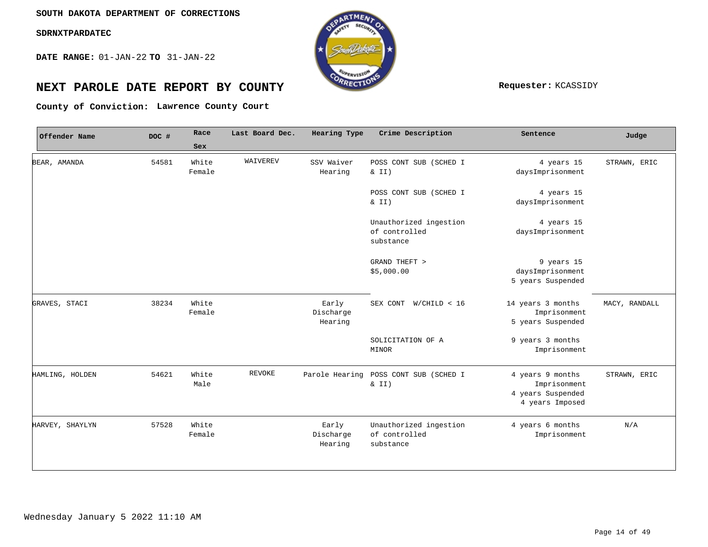**DATE RANGE:** 01-JAN-22 **TO** 31-JAN-22



# **NEXT PAROLE DATE REPORT BY COUNTY Requester:** KCASSIDY

**Lawrence County Court County of Conviction:**

| Offender Name   | DOC # | Race            | Last Board Dec. | Hearing Type                  | Crime Description                                    | Sentence                                                                 | Judge         |
|-----------------|-------|-----------------|-----------------|-------------------------------|------------------------------------------------------|--------------------------------------------------------------------------|---------------|
|                 |       | Sex             |                 |                               |                                                      |                                                                          |               |
| BEAR, AMANDA    | 54581 | White<br>Female | WAIVEREV        | SSV Waiver<br>Hearing         | POSS CONT SUB (SCHED I<br>$\&$ II)                   | 4 years 15<br>daysImprisonment                                           | STRAWN, ERIC  |
|                 |       |                 |                 |                               | POSS CONT SUB (SCHED I<br>& II)                      | 4 years 15<br>daysImprisonment                                           |               |
|                 |       |                 |                 |                               | Unauthorized ingestion<br>of controlled<br>substance | 4 years 15<br>daysImprisonment                                           |               |
|                 |       |                 |                 |                               | GRAND THEFT ><br>\$5,000.00                          | 9 years 15<br>daysImprisonment<br>5 years Suspended                      |               |
| GRAVES, STACI   | 38234 | White<br>Female |                 | Early<br>Discharge<br>Hearing | SEX CONT<br>W/CHILD < 16                             | 14 years 3 months<br>Imprisonment<br>5 years Suspended                   | MACY, RANDALL |
|                 |       |                 |                 |                               | SOLICITATION OF A<br>MINOR                           | 9 years 3 months<br>Imprisonment                                         |               |
| HAMLING, HOLDEN | 54621 | White<br>Male   | <b>REVOKE</b>   |                               | Parole Hearing POSS CONT SUB (SCHED I<br>& II)       | 4 years 9 months<br>Imprisonment<br>4 years Suspended<br>4 years Imposed | STRAWN, ERIC  |
| HARVEY, SHAYLYN | 57528 | White<br>Female |                 | Early<br>Discharge<br>Hearing | Unauthorized ingestion<br>of controlled<br>substance | 4 years 6 months<br>Imprisonment                                         | N/A           |
|                 |       |                 |                 |                               |                                                      |                                                                          |               |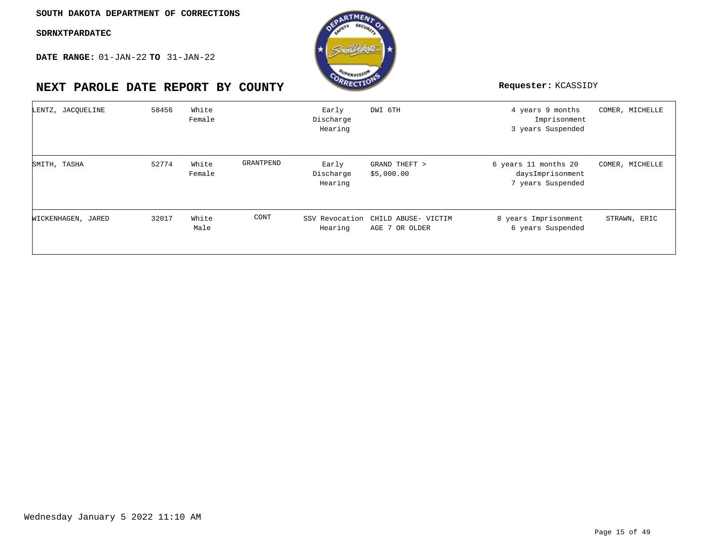

| LENTZ, JACQUELINE  | 58456 | White<br>Female |           | Early<br>Discharge<br>Hearing | DWI 6TH                                              | 4 years 9 months<br>Imprisonment<br>3 years Suspended         | COMER, MICHELLE |
|--------------------|-------|-----------------|-----------|-------------------------------|------------------------------------------------------|---------------------------------------------------------------|-----------------|
| SMITH, TASHA       | 52774 | White<br>Female | GRANTPEND | Early<br>Discharge<br>Hearing | GRAND THEFT ><br>\$5,000.00                          | 6 years 11 months 20<br>daysImprisonment<br>7 years Suspended | COMER, MICHELLE |
| WICKENHAGEN, JARED | 32017 | White<br>Male   | CONT      | Hearing                       | SSV Revocation CHILD ABUSE- VICTIM<br>AGE 7 OR OLDER | 8 years Imprisonment<br>6 years Suspended                     | STRAWN, ERIC    |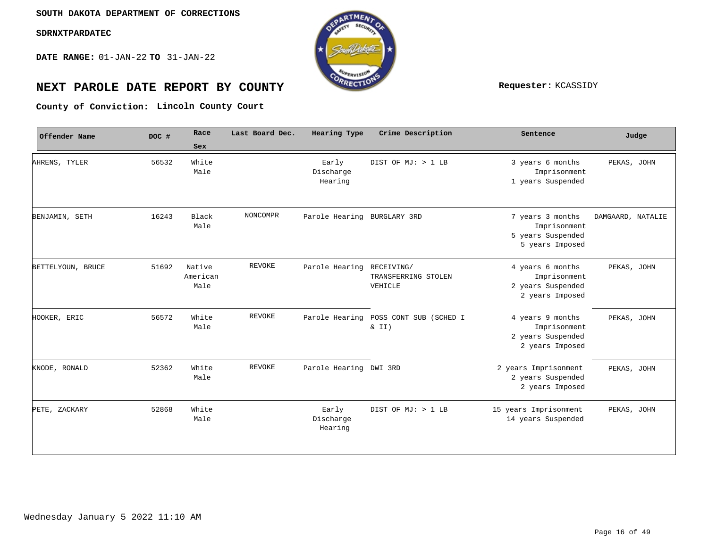**DATE RANGE:** 01-JAN-22 **TO** 31-JAN-22



# **NEXT PAROLE DATE REPORT BY COUNTY Requester:** KCASSIDY

**Lincoln County Court County of Conviction:**

| Offender Name     | DOC # | Race                       | Last Board Dec. | Hearing Type                  | Crime Description                            | Sentence                                                                 | Judge             |
|-------------------|-------|----------------------------|-----------------|-------------------------------|----------------------------------------------|--------------------------------------------------------------------------|-------------------|
|                   |       | Sex                        |                 |                               |                                              |                                                                          |                   |
| AHRENS, TYLER     | 56532 | White<br>Male              |                 | Early<br>Discharge<br>Hearing | DIST OF MJ: > 1 LB                           | 3 years 6 months<br>Imprisonment<br>1 years Suspended                    | PEKAS, JOHN       |
| BENJAMIN, SETH    | 16243 | Black<br>Male              | NONCOMPR        | Parole Hearing BURGLARY 3RD   |                                              | 7 years 3 months<br>Imprisonment<br>5 years Suspended<br>5 years Imposed | DAMGAARD, NATALIE |
| BETTELYOUN, BRUCE | 51692 | Native<br>American<br>Male | <b>REVOKE</b>   | Parole Hearing                | RECEIVING/<br>TRANSFERRING STOLEN<br>VEHICLE | 4 years 6 months<br>Imprisonment<br>2 years Suspended<br>2 years Imposed | PEKAS, JOHN       |
| HOOKER, ERIC      | 56572 | White<br>Male              | <b>REVOKE</b>   | Parole Hearing                | POSS CONT SUB (SCHED I<br>& II)              | 4 years 9 months<br>Imprisonment<br>2 years Suspended<br>2 years Imposed | PEKAS, JOHN       |
| KNODE, RONALD     | 52362 | White<br>Male              | <b>REVOKE</b>   | Parole Hearing DWI 3RD        |                                              | 2 years Imprisonment<br>2 years Suspended<br>2 years Imposed             | PEKAS, JOHN       |
| PETE, ZACKARY     | 52868 | White<br>Male              |                 | Early<br>Discharge<br>Hearing | DIST OF MJ: > 1 LB                           | 15 years Imprisonment<br>14 years Suspended                              | PEKAS, JOHN       |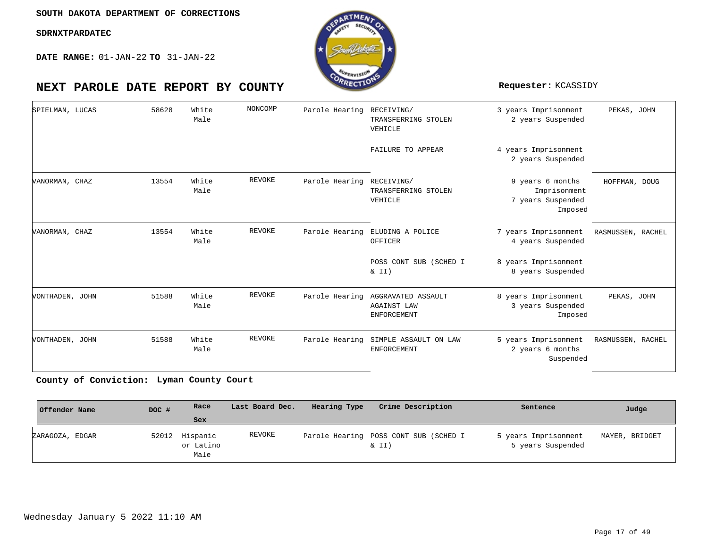**DATE RANGE:** 01-JAN-22 **TO** 31-JAN-22



| SPIELMAN, LUCAS | 58628 | White<br>Male | NONCOMP       | Parole Hearing RECEIVING/ | TRANSFERRING STOLEN<br>VEHICLE                                    | 3 years Imprisonment<br>2 years Suspended                                              | PEKAS, JOHN       |  |
|-----------------|-------|---------------|---------------|---------------------------|-------------------------------------------------------------------|----------------------------------------------------------------------------------------|-------------------|--|
|                 |       |               |               |                           | FAILURE TO APPEAR                                                 | 4 years Imprisonment<br>2 years Suspended                                              |                   |  |
| VANORMAN, CHAZ  | 13554 | White<br>Male | <b>REVOKE</b> | Parole Hearing            | RECEIVING/<br>TRANSFERRING STOLEN<br>VEHICLE                      | 9 years 6 months<br>Imprisonment<br>7 years Suspended<br>Imposed                       | HOFFMAN, DOUG     |  |
| VANORMAN, CHAZ  | 13554 | White<br>Male | <b>REVOKE</b> | Parole Hearing            | ELUDING A POLICE<br>OFFICER<br>POSS CONT SUB (SCHED I<br>$\&$ II) | 7 years Imprisonment<br>4 years Suspended<br>8 years Imprisonment<br>8 years Suspended | RASMUSSEN, RACHEL |  |
| VONTHADEN, JOHN | 51588 | White<br>Male | <b>REVOKE</b> | Parole Hearing            | AGGRAVATED ASSAULT<br><b>AGAINST LAW</b><br><b>ENFORCEMENT</b>    | 8 years Imprisonment<br>3 years Suspended<br>Imposed                                   | PEKAS, JOHN       |  |
| VONTHADEN, JOHN | 51588 | White<br>Male | <b>REVOKE</b> | Parole Hearing            | SIMPLE ASSAULT ON LAW<br>ENFORCEMENT                              | 5 years Imprisonment<br>2 years 6 months<br>Suspended                                  | RASMUSSEN, RACHEL |  |

### **Lyman County Court County of Conviction:**

| Offender Name   | DOC # | Race                          | Last Board Dec. | Hearing Type | Crime Description                              | Sentence                                  | Judge          |
|-----------------|-------|-------------------------------|-----------------|--------------|------------------------------------------------|-------------------------------------------|----------------|
|                 |       | <b>Sex</b>                    |                 |              |                                                |                                           |                |
| ZARAGOZA, EDGAR | 52012 | Hispanic<br>or Latino<br>Male | REVOKE          |              | Parole Hearing POSS CONT SUB (SCHED I<br>& II) | 5 years Imprisonment<br>5 years Suspended | MAYER, BRIDGET |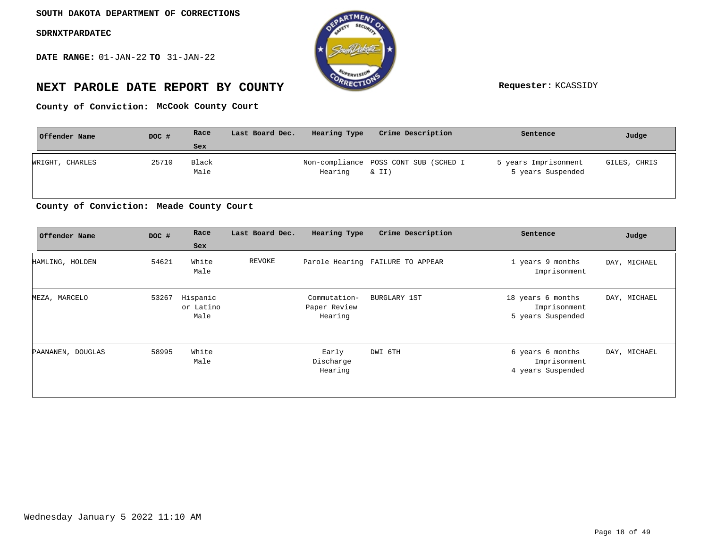**DATE RANGE:** 01-JAN-22 **TO** 31-JAN-22



# **NEXT PAROLE DATE REPORT BY COUNTY Requester:** KCASSIDY

**McCook County Court County of Conviction:**

| Offender Name   | DOC # | Race          | Last Board Dec. | Hearing Type | Crime Description                              | Sentence                                  | Judge        |
|-----------------|-------|---------------|-----------------|--------------|------------------------------------------------|-------------------------------------------|--------------|
|                 |       | Sex           |                 |              |                                                |                                           |              |
| WRIGHT, CHARLES | 25710 | Black<br>Male |                 | Hearing      | Non-compliance POSS CONT SUB (SCHED I<br>& II) | 5 years Imprisonment<br>5 years Suspended | GILES, CHRIS |

### **Meade County Court County of Conviction:**

| Offender Name     | DOC # | Race<br>Sex                   | Last Board Dec. | Hearing Type                            | Crime Description                | Sentence                                               | Judge        |
|-------------------|-------|-------------------------------|-----------------|-----------------------------------------|----------------------------------|--------------------------------------------------------|--------------|
| HAMLING, HOLDEN   | 54621 | White<br>Male                 | REVOKE          |                                         | Parole Hearing FAILURE TO APPEAR | 1 years 9 months<br>Imprisonment                       | DAY, MICHAEL |
| MEZA, MARCELO     | 53267 | Hispanic<br>or Latino<br>Male |                 | Commutation-<br>Paper Review<br>Hearing | BURGLARY 1ST                     | 18 years 6 months<br>Imprisonment<br>5 years Suspended | DAY, MICHAEL |
| PAANANEN, DOUGLAS | 58995 | White<br>Male                 |                 | Early<br>Discharge<br>Hearing           | DWI 6TH                          | 6 years 6 months<br>Imprisonment<br>4 years Suspended  | DAY, MICHAEL |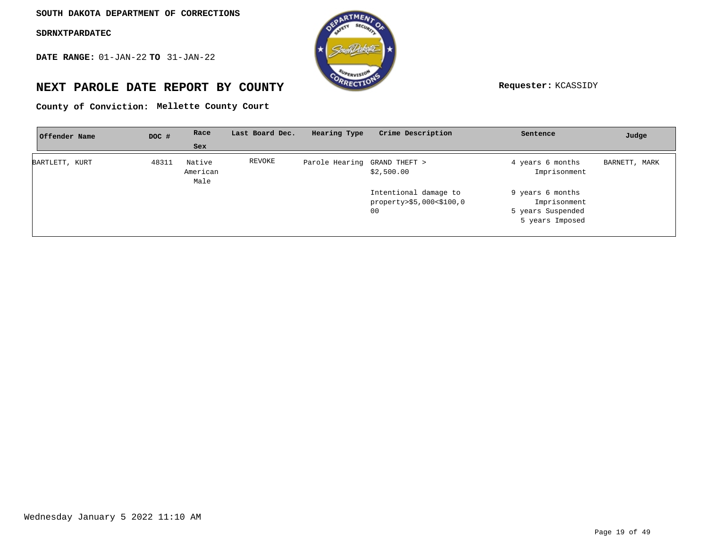**DATE RANGE:** 01-JAN-22 **TO** 31-JAN-22



# **NEXT PAROLE DATE REPORT BY COUNTY Requester:** KCASSIDY

**Mellette County Court County of Conviction:**

| Offender Name  | DOC # | Race                       | Last Board Dec. | Hearing Type                 | Crime Description                                       | Sentence                                                                 | Judge         |
|----------------|-------|----------------------------|-----------------|------------------------------|---------------------------------------------------------|--------------------------------------------------------------------------|---------------|
|                |       | Sex                        |                 |                              |                                                         |                                                                          |               |
| BARTLETT, KURT | 48311 | Native<br>American<br>Male | REVOKE          | Parole Hearing GRAND THEFT > | \$2,500.00                                              | 4 years 6 months<br>Imprisonment                                         | BARNETT, MARK |
|                |       |                            |                 |                              | Intentional damage to<br>property>\$5,000<\$100,0<br>00 | 9 years 6 months<br>Imprisonment<br>5 years Suspended<br>5 years Imposed |               |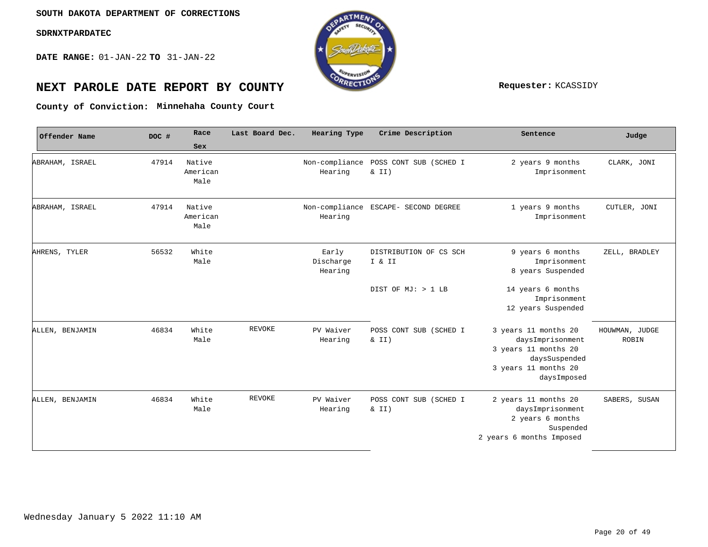**DATE RANGE:** 01-JAN-22 **TO** 31-JAN-22



# **NEXT PAROLE DATE REPORT BY COUNTY REPORT BY ALL PROPERTY REQUESTER:** KCASSIDY

**Minnehaha County Court County of Conviction:**

| Offender Name   | DOC # | Race                       | Last Board Dec. | Hearing Type                  | Crime Description                              | Sentence                                                                                                                 | Judge                   |
|-----------------|-------|----------------------------|-----------------|-------------------------------|------------------------------------------------|--------------------------------------------------------------------------------------------------------------------------|-------------------------|
|                 |       | Sex                        |                 |                               |                                                |                                                                                                                          |                         |
| ABRAHAM, ISRAEL | 47914 | Native<br>American<br>Male |                 | Hearing                       | Non-compliance POSS CONT SUB (SCHED I<br>& II) | 2 years 9 months<br>Imprisonment                                                                                         | CLARK, JONI             |
| ABRAHAM, ISRAEL | 47914 | Native<br>American<br>Male |                 | Hearing                       | Non-compliance ESCAPE- SECOND DEGREE           | 1 years 9 months<br>Imprisonment                                                                                         | CUTLER, JONI            |
| AHRENS, TYLER   | 56532 | White<br>Male              |                 | Early<br>Discharge<br>Hearing | DISTRIBUTION OF CS SCH<br>I & II               | 9 years 6 months<br>Imprisonment<br>8 years Suspended                                                                    | ZELL, BRADLEY           |
|                 |       |                            |                 |                               | DIST OF MJ: > 1 LB                             | 14 years 6 months<br>Imprisonment<br>12 years Suspended                                                                  |                         |
| ALLEN, BENJAMIN | 46834 | White<br>Male              | <b>REVOKE</b>   | PV Waiver<br>Hearing          | POSS CONT SUB (SCHED I<br>$\& II)$             | 3 years 11 months 20<br>daysImprisonment<br>3 years 11 months 20<br>daysSuspended<br>3 years 11 months 20<br>daysImposed | HOUWMAN, JUDGE<br>ROBIN |
| ALLEN, BENJAMIN | 46834 | White<br>Male              | <b>REVOKE</b>   | PV Waiver<br>Hearing          | POSS CONT SUB (SCHED I<br>$\&$ II)             | 2 years 11 months 20<br>daysImprisonment<br>2 years 6 months<br>Suspended<br>2 years 6 months Imposed                    | SABERS, SUSAN           |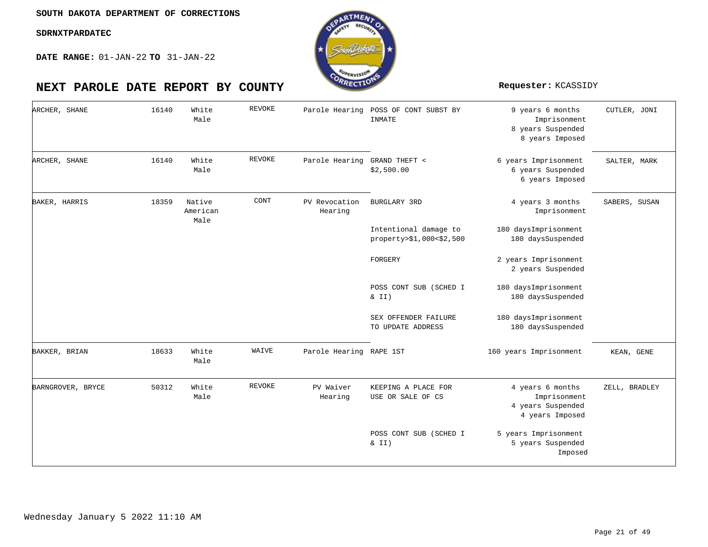**DATE RANGE:** 01-JAN-22 **TO** 31-JAN-22

| ARCHER, SHANE     | 16140 | White<br>Male              | <b>REVOKE</b> | Parole Hearing           | POSS OF CONT SUBST BY<br>INMATE                   | 9 years 6 months<br>Imprisonment<br>8 years Suspended<br>8 years Imposed | CUTLER, JONI  |
|-------------------|-------|----------------------------|---------------|--------------------------|---------------------------------------------------|--------------------------------------------------------------------------|---------------|
| ARCHER, SHANE     | 16140 | White<br>Male              | <b>REVOKE</b> | Parole Hearing           | GRAND THEFT <<br>\$2,500.00                       | 6 years Imprisonment<br>6 years Suspended<br>6 years Imposed             | SALTER, MARK  |
| BAKER, HARRIS     | 18359 | Native<br>American<br>Male | CONT          | PV Revocation<br>Hearing | BURGLARY 3RD                                      | 4 years 3 months<br>Imprisonment                                         | SABERS, SUSAN |
|                   |       |                            |               |                          | Intentional damage to<br>property>\$1,000<\$2,500 | 180 daysImprisonment<br>180 daysSuspended                                |               |
|                   |       |                            |               |                          | FORGERY                                           | 2 years Imprisonment<br>2 years Suspended                                |               |
|                   |       |                            |               |                          | POSS CONT SUB (SCHED I<br>& II)                   | 180 daysImprisonment<br>180 daysSuspended                                |               |
|                   |       |                            |               |                          | SEX OFFENDER FAILURE<br>TO UPDATE ADDRESS         | 180 daysImprisonment<br>180 daysSuspended                                |               |
| BAKKER, BRIAN     | 18633 | White<br>Male              | WAIVE         | Parole Hearing RAPE 1ST  |                                                   | 160 years Imprisonment                                                   | KEAN, GENE    |
| BARNGROVER, BRYCE | 50312 | White<br>Male              | REVOKE        | PV Waiver<br>Hearing     | KEEPING A PLACE FOR<br>USE OR SALE OF CS          | 4 years 6 months<br>Imprisonment<br>4 years Suspended<br>4 years Imposed | ZELL, BRADLEY |
|                   |       |                            |               |                          | POSS CONT SUB (SCHED I<br>& II)                   | 5 years Imprisonment<br>5 years Suspended<br>Imposed                     |               |

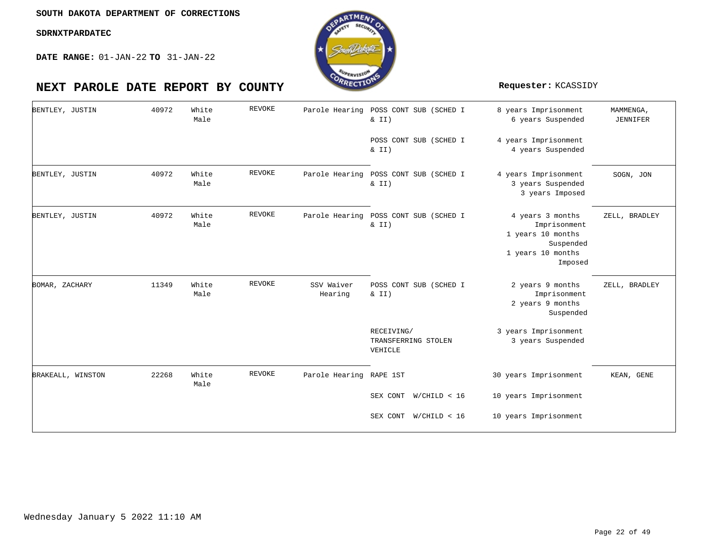$\Gamma$ 

**DATE RANGE:** 01-JAN-22 **TO** 31-JAN-22

| BENTLEY, JUSTIN   | 40972 | White<br>Male | <b>REVOKE</b> | Parole Hearing          | POSS CONT SUB (SCHED I<br>$\&$ II)             | 8 years Imprisonment<br>6 years Suspended                                                          | MAMMENGA,<br><b>JENNIFER</b> |
|-------------------|-------|---------------|---------------|-------------------------|------------------------------------------------|----------------------------------------------------------------------------------------------------|------------------------------|
|                   |       |               |               |                         | POSS CONT SUB (SCHED I<br>& II)                | 4 years Imprisonment<br>4 years Suspended                                                          |                              |
| BENTLEY, JUSTIN   | 40972 | White<br>Male | REVOKE        | Parole Hearing          | POSS CONT SUB (SCHED I<br>& II)                | 4 years Imprisonment<br>3 years Suspended<br>3 years Imposed                                       | SOGN, JON                    |
| BENTLEY, JUSTIN   | 40972 | White<br>Male | <b>REVOKE</b> |                         | Parole Hearing POSS CONT SUB (SCHED I<br>& II) | 4 years 3 months<br>Imprisonment<br>1 years 10 months<br>Suspended<br>1 years 10 months<br>Imposed | ZELL, BRADLEY                |
| BOMAR, ZACHARY    | 11349 | White<br>Male | <b>REVOKE</b> | SSV Waiver<br>Hearing   | POSS CONT SUB (SCHED I<br>& II)                | 2 years 9 months<br>Imprisonment<br>2 years 9 months<br>Suspended                                  | ZELL, BRADLEY                |
|                   |       |               |               |                         | RECEIVING/<br>TRANSFERRING STOLEN<br>VEHICLE   | 3 years Imprisonment<br>3 years Suspended                                                          |                              |
| BRAKEALL, WINSTON | 22268 | White<br>Male | REVOKE        | Parole Hearing RAPE 1ST |                                                | 30 years Imprisonment                                                                              | KEAN, GENE                   |
|                   |       |               |               |                         | SEX CONT W/CHILD < 16                          | 10 years Imprisonment                                                                              |                              |
|                   |       |               |               |                         | SEX CONT W/CHILD < 16                          | 10 years Imprisonment                                                                              |                              |

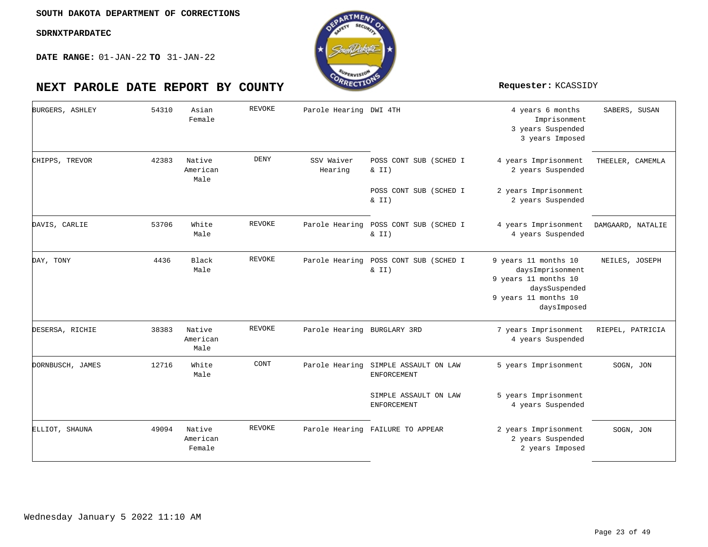

| BURGERS, ASHLEY  | 54310 | Asian<br>Female              | <b>REVOKE</b> | Parole Hearing DWI 4TH      |                                                | 4 years 6 months<br>Imprisonment<br>3 years Suspended<br>3 years Imposed                                                 | SABERS, SUSAN     |
|------------------|-------|------------------------------|---------------|-----------------------------|------------------------------------------------|--------------------------------------------------------------------------------------------------------------------------|-------------------|
| CHIPPS, TREVOR   | 42383 | Native<br>American<br>Male   | <b>DENY</b>   | SSV Waiver<br>Hearing       | POSS CONT SUB (SCHED I<br>$\&$ II)             | 4 years Imprisonment<br>2 years Suspended                                                                                | THEELER, CAMEMLA  |
|                  |       |                              |               |                             | POSS CONT SUB (SCHED I<br>$\&$ II)             | 2 years Imprisonment<br>2 years Suspended                                                                                |                   |
| DAVIS, CARLIE    | 53706 | White<br>Male                | REVOKE        |                             | Parole Hearing POSS CONT SUB (SCHED I<br>& II) | 4 years Imprisonment<br>4 years Suspended                                                                                | DAMGAARD, NATALIE |
| DAY, TONY        | 4436  | Black<br>Male                | <b>REVOKE</b> | Parole Hearing              | POSS CONT SUB (SCHED I<br>$\&$ II)             | 9 years 11 months 10<br>daysImprisonment<br>9 years 11 months 10<br>daysSuspended<br>9 years 11 months 10<br>daysImposed | NEILES, JOSEPH    |
| DESERSA, RICHIE  | 38383 | Native<br>American<br>Male   | REVOKE        | Parole Hearing BURGLARY 3RD |                                                | 7 years Imprisonment<br>4 years Suspended                                                                                | RIEPEL, PATRICIA  |
| DORNBUSCH, JAMES | 12716 | White<br>Male                | CONT          | Parole Hearing              | SIMPLE ASSAULT ON LAW<br>ENFORCEMENT           | 5 years Imprisonment                                                                                                     | SOGN, JON         |
|                  |       |                              |               |                             | SIMPLE ASSAULT ON LAW<br>ENFORCEMENT           | 5 years Imprisonment<br>4 years Suspended                                                                                |                   |
| ELLIOT, SHAUNA   | 49094 | Native<br>American<br>Female | REVOKE        |                             | Parole Hearing FAILURE TO APPEAR               | 2 years Imprisonment<br>2 years Suspended<br>2 years Imposed                                                             | SOGN, JON         |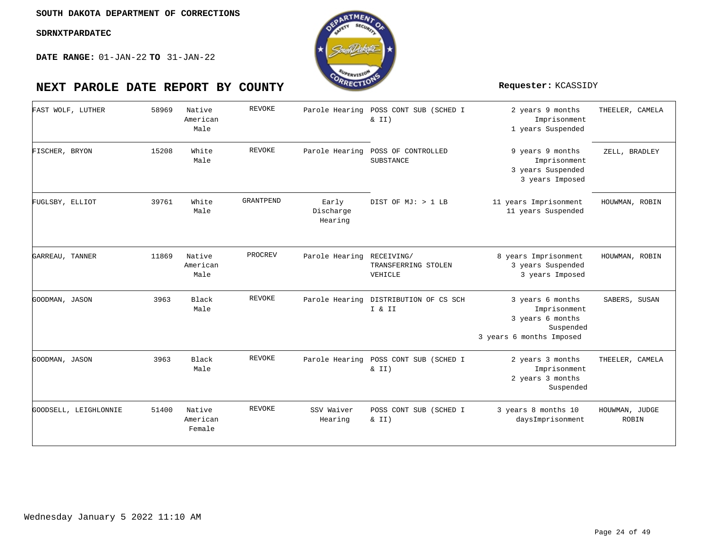

| FAST WOLF, LUTHER     | 58969 | Native<br>American<br>Male   | <b>REVOKE</b> |                               | Parole Hearing POSS CONT SUB (SCHED I<br>$\&$ II) | 2 years 9 months<br>Imprisonment<br>1 years Suspended                                         | THEELER, CAMELA                |
|-----------------------|-------|------------------------------|---------------|-------------------------------|---------------------------------------------------|-----------------------------------------------------------------------------------------------|--------------------------------|
| FISCHER, BRYON        | 15208 | White<br>Male                | REVOKE        | Parole Hearing                | POSS OF CONTROLLED<br>SUBSTANCE                   | 9 years 9 months<br>Imprisonment<br>3 years Suspended<br>3 years Imposed                      | ZELL, BRADLEY                  |
| FUGLSBY, ELLIOT       | 39761 | White<br>Male                | GRANTPEND     | Early<br>Discharge<br>Hearing | DIST OF MJ: > 1 LB                                | 11 years Imprisonment<br>11 years Suspended                                                   | HOUWMAN, ROBIN                 |
| GARREAU, TANNER       | 11869 | Native<br>American<br>Male   | PROCREV       | Parole Hearing RECEIVING/     | TRANSFERRING STOLEN<br>VEHICLE                    | 8 years Imprisonment<br>3 years Suspended<br>3 years Imposed                                  | HOUWMAN, ROBIN                 |
| GOODMAN, JASON        | 3963  | Black<br>Male                | <b>REVOKE</b> | Parole Hearing                | DISTRIBUTION OF CS SCH<br>I & II                  | 3 years 6 months<br>Imprisonment<br>3 years 6 months<br>Suspended<br>3 years 6 months Imposed | SABERS, SUSAN                  |
| GOODMAN, JASON        | 3963  | Black<br>Male                | <b>REVOKE</b> | Parole Hearing                | POSS CONT SUB (SCHED I<br>$\&$ II)                | 2 years 3 months<br>Imprisonment<br>2 years 3 months<br>Suspended                             | THEELER, CAMELA                |
| GOODSELL, LEIGHLONNIE | 51400 | Native<br>American<br>Female | REVOKE        | SSV Waiver<br>Hearing         | POSS CONT SUB (SCHED I<br>& II)                   | 3 years 8 months 10<br>daysImprisonment                                                       | HOUWMAN, JUDGE<br><b>ROBIN</b> |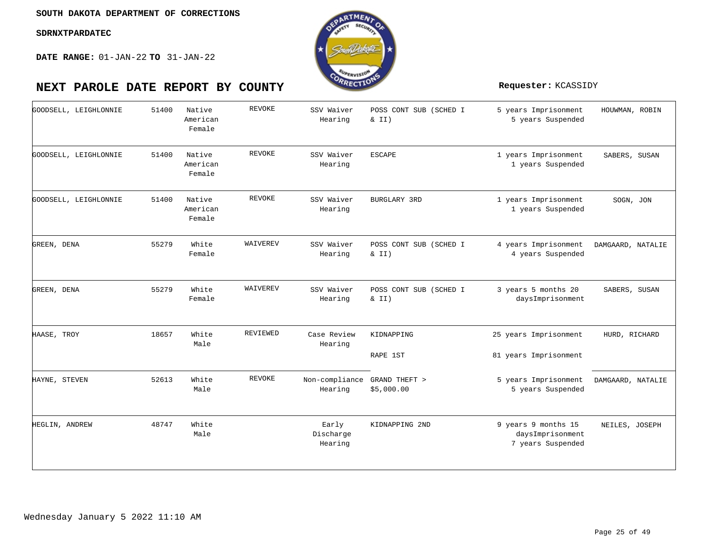

| GOODSELL, LEIGHLONNIE | 51400 | Native<br>American<br>Female | REVOKE        | SSV Waiver<br>Hearing         | POSS CONT SUB (SCHED I<br>& II) | 5 years Imprisonment<br>5 years Suspended                    | HOUWMAN, ROBIN    |
|-----------------------|-------|------------------------------|---------------|-------------------------------|---------------------------------|--------------------------------------------------------------|-------------------|
| GOODSELL, LEIGHLONNIE | 51400 | Native<br>American<br>Female | <b>REVOKE</b> | SSV Waiver<br>Hearing         | <b>ESCAPE</b>                   | 1 years Imprisonment<br>1 years Suspended                    | SABERS, SUSAN     |
| GOODSELL, LEIGHLONNIE | 51400 | Native<br>American<br>Female | REVOKE        | SSV Waiver<br>Hearing         | <b>BURGLARY 3RD</b>             | 1 years Imprisonment<br>1 years Suspended                    | SOGN, JON         |
| GREEN, DENA           | 55279 | White<br>Female              | WAIVEREV      | SSV Waiver<br>Hearing         | POSS CONT SUB (SCHED I<br>& II) | 4 years Imprisonment<br>4 years Suspended                    | DAMGAARD, NATALIE |
| GREEN, DENA           | 55279 | White<br>Female              | WAIVEREV      | SSV Waiver<br>Hearing         | POSS CONT SUB (SCHED I<br>& II) | 3 years 5 months 20<br>daysImprisonment                      | SABERS, SUSAN     |
| HAASE, TROY           | 18657 | White<br>Male                | REVIEWED      | Case Review<br>Hearing        | KIDNAPPING<br>RAPE 1ST          | 25 years Imprisonment<br>81 years Imprisonment               | HURD, RICHARD     |
| HAYNE, STEVEN         | 52613 | White<br>Male                | REVOKE        | Non-compliance<br>Hearing     | GRAND THEFT ><br>\$5,000.00     | 5 years Imprisonment<br>5 years Suspended                    | DAMGAARD, NATALIE |
| HEGLIN, ANDREW        | 48747 | White<br>Male                |               | Early<br>Discharge<br>Hearing | KIDNAPPING 2ND                  | 9 years 9 months 15<br>daysImprisonment<br>7 years Suspended | NEILES, JOSEPH    |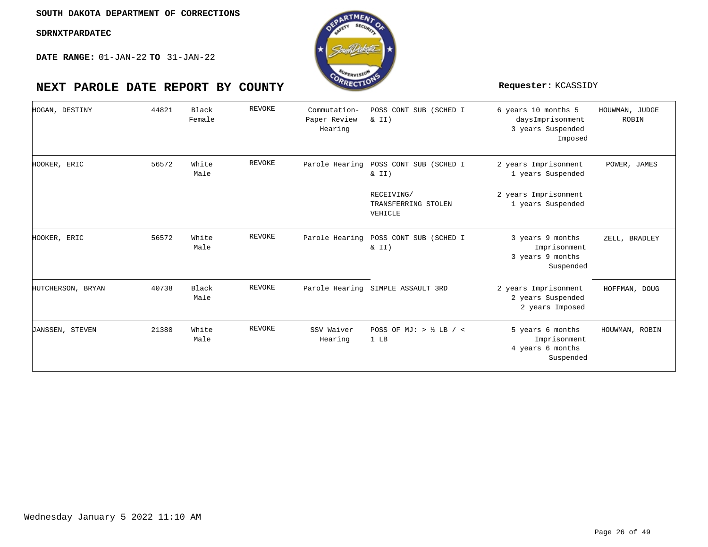**DATE RANGE:** 01-JAN-22 **TO** 31-JAN-22



| HOGAN, DESTINY    | 44821 | Black<br>Female | <b>REVOKE</b> | Commutation-<br>Paper Review<br>Hearing | POSS CONT SUB (SCHED I<br>& II)              | 6 years 10 months 5<br>daysImprisonment<br>3 years Suspended<br>Imposed | HOUWMAN, JUDGE<br>ROBIN |
|-------------------|-------|-----------------|---------------|-----------------------------------------|----------------------------------------------|-------------------------------------------------------------------------|-------------------------|
| HOOKER, ERIC      | 56572 | White<br>Male   | <b>REVOKE</b> | Parole Hearing                          | POSS CONT SUB (SCHED I<br>& II)              | 2 years Imprisonment<br>1 years Suspended                               | POWER, JAMES            |
|                   |       |                 |               |                                         | RECEIVING/<br>TRANSFERRING STOLEN<br>VEHICLE | 2 years Imprisonment<br>1 years Suspended                               |                         |
| HOOKER, ERIC      | 56572 | White<br>Male   | <b>REVOKE</b> | Parole Hearing                          | POSS CONT SUB (SCHED I<br>& II)              | 3 years 9 months<br>Imprisonment<br>3 years 9 months<br>Suspended       | ZELL, BRADLEY           |
| HUTCHERSON, BRYAN | 40738 | Black<br>Male   | <b>REVOKE</b> |                                         | Parole Hearing SIMPLE ASSAULT 3RD            | 2 years Imprisonment<br>2 years Suspended<br>2 years Imposed            | HOFFMAN, DOUG           |
| JANSSEN, STEVEN   | 21380 | White<br>Male   | REVOKE        | SSV Waiver<br>Hearing                   | POSS OF MJ: $>$ $\frac{1}{2}$ LB / <<br>1 LB | 5 years 6 months<br>Imprisonment<br>4 years 6 months<br>Suspended       | HOUWMAN, ROBIN          |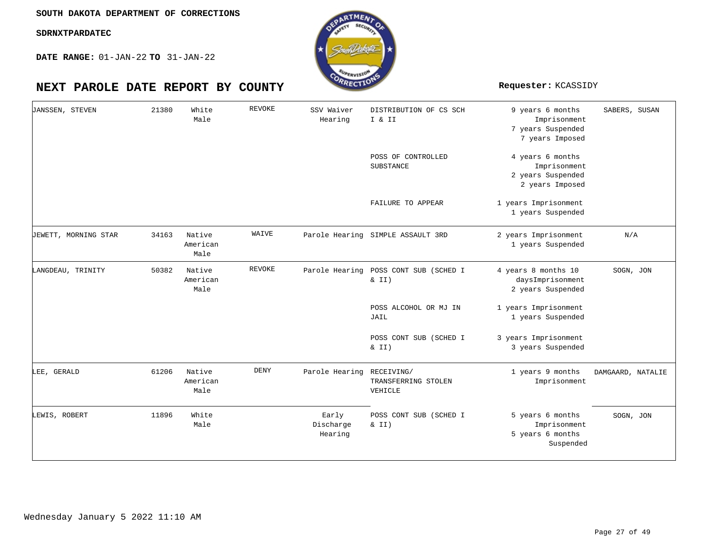**DATE RANGE:** 01-JAN-22 **TO** 31-JAN-22

| JANSSEN, STEVEN      | 21380 | White<br>Male              | <b>REVOKE</b> | SSV Waiver<br>Hearing         | DISTRIBUTION OF CS SCH<br>I & II             | 9 years 6 months<br>Imprisonment<br>7 years Suspended<br>7 years Imposed | SABERS, SUSAN     |
|----------------------|-------|----------------------------|---------------|-------------------------------|----------------------------------------------|--------------------------------------------------------------------------|-------------------|
|                      |       |                            |               |                               | POSS OF CONTROLLED<br>SUBSTANCE              | 4 years 6 months<br>Imprisonment<br>2 years Suspended<br>2 years Imposed |                   |
|                      |       |                            |               |                               | FAILURE TO APPEAR                            | 1 years Imprisonment<br>1 years Suspended                                |                   |
| JEWETT, MORNING STAR | 34163 | Native<br>American<br>Male | WAIVE         |                               | Parole Hearing SIMPLE ASSAULT 3RD            | 2 years Imprisonment<br>1 years Suspended                                | N/A               |
| LANGDEAU, TRINITY    | 50382 | Native<br>American<br>Male | <b>REVOKE</b> | Parole Hearing                | POSS CONT SUB (SCHED I<br>$\&$ II)           | 4 years 8 months 10<br>daysImprisonment<br>2 years Suspended             | SOGN, JON         |
|                      |       |                            |               |                               | POSS ALCOHOL OR MJ IN<br>JAIL                | 1 years Imprisonment<br>1 years Suspended                                |                   |
|                      |       |                            |               |                               | POSS CONT SUB (SCHED I<br>$\&$ II)           | 3 years Imprisonment<br>3 years Suspended                                |                   |
| LEE, GERALD          | 61206 | Native<br>American<br>Male | DENY          | Parole Hearing                | RECEIVING/<br>TRANSFERRING STOLEN<br>VEHICLE | 1 years 9 months<br>Imprisonment                                         | DAMGAARD, NATALIE |
| LEWIS, ROBERT        | 11896 | White<br>Male              |               | Early<br>Discharge<br>Hearing | POSS CONT SUB (SCHED I<br>$\&$ II)           | 5 years 6 months<br>Imprisonment<br>5 years 6 months<br>Suspended        | SOGN, JON         |

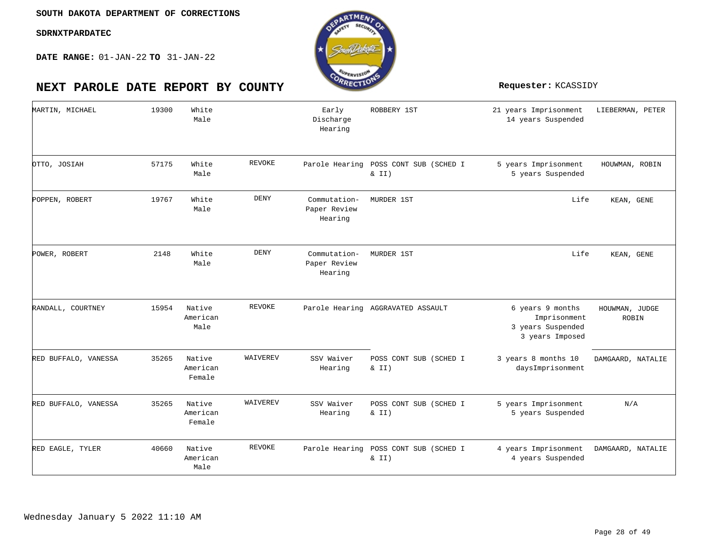

| MARTIN, MICHAEL      | 19300 | White<br>Male                |               | Early<br>Discharge<br>Hearing           | ROBBERY 1ST                        | 21 years Imprisonment<br>14 years Suspended                              | LIEBERMAN, PETER        |
|----------------------|-------|------------------------------|---------------|-----------------------------------------|------------------------------------|--------------------------------------------------------------------------|-------------------------|
| OTTO, JOSIAH         | 57175 | White<br>Male                | REVOKE        | Parole Hearing                          | POSS CONT SUB (SCHED I<br>& II)    | 5 years Imprisonment<br>5 years Suspended                                | HOUWMAN, ROBIN          |
| POPPEN, ROBERT       | 19767 | White<br>Male                | <b>DENY</b>   | Commutation-<br>Paper Review<br>Hearing | MURDER 1ST                         | Life                                                                     | KEAN, GENE              |
| POWER, ROBERT        | 2148  | White<br>Male                | <b>DENY</b>   | Commutation-<br>Paper Review<br>Hearing | MURDER 1ST                         | Life                                                                     | KEAN, GENE              |
| RANDALL, COURTNEY    | 15954 | Native<br>American<br>Male   | REVOKE        |                                         | Parole Hearing AGGRAVATED ASSAULT  | 6 years 9 months<br>Imprisonment<br>3 years Suspended<br>3 years Imposed | HOUWMAN, JUDGE<br>ROBIN |
| RED BUFFALO, VANESSA | 35265 | Native<br>American<br>Female | WAIVEREV      | SSV Waiver<br>Hearing                   | POSS CONT SUB (SCHED I<br>& II)    | 3 years 8 months 10<br>daysImprisonment                                  | DAMGAARD, NATALIE       |
| RED BUFFALO, VANESSA | 35265 | Native<br>American<br>Female | WAIVEREV      | SSV Waiver<br>Hearing                   | POSS CONT SUB (SCHED I<br>$\&$ II) | 5 years Imprisonment<br>5 years Suspended                                | N/A                     |
| RED EAGLE, TYLER     | 40660 | Native<br>American<br>Male   | <b>REVOKE</b> | Parole Hearing                          | POSS CONT SUB (SCHED I<br>& II)    | 4 years Imprisonment<br>4 years Suspended                                | DAMGAARD, NATALIE       |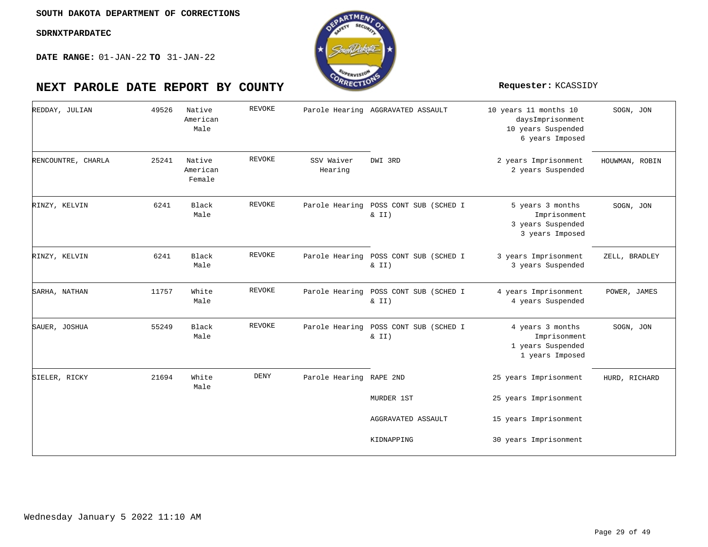

| REDDAY, JULIAN     | 49526 | Native<br>American<br>Male   | <b>REVOKE</b> |                         | Parole Hearing AGGRAVATED ASSAULT              | 10 years 11 months 10<br>daysImprisonment<br>10 years Suspended<br>6 years Imposed | SOGN, JON      |
|--------------------|-------|------------------------------|---------------|-------------------------|------------------------------------------------|------------------------------------------------------------------------------------|----------------|
| RENCOUNTRE, CHARLA | 25241 | Native<br>American<br>Female | <b>REVOKE</b> | SSV Waiver<br>Hearing   | DWI 3RD                                        | 2 years Imprisonment<br>2 years Suspended                                          | HOUWMAN, ROBIN |
| RINZY, KELVIN      | 6241  | Black<br>Male                | REVOKE        |                         | Parole Hearing POSS CONT SUB (SCHED I<br>& II) | 5 years 3 months<br>Imprisonment<br>3 years Suspended<br>3 years Imposed           | SOGN, JON      |
| RINZY, KELVIN      | 6241  | Black<br>Male                | <b>REVOKE</b> |                         | Parole Hearing POSS CONT SUB (SCHED I<br>& II) | 3 years Imprisonment<br>3 years Suspended                                          | ZELL, BRADLEY  |
| SARHA, NATHAN      | 11757 | White<br>Male                | REVOKE        | Parole Hearing          | POSS CONT SUB (SCHED I<br>& II)                | 4 years Imprisonment<br>4 years Suspended                                          | POWER, JAMES   |
| SAUER, JOSHUA      | 55249 | Black<br>Male                | REVOKE        | Parole Hearing          | POSS CONT SUB (SCHED I<br>$\&$ II)             | 4 years 3 months<br>Imprisonment<br>1 years Suspended<br>1 years Imposed           | SOGN, JON      |
| SIELER, RICKY      | 21694 | White<br>Male                | DENY          | Parole Hearing RAPE 2ND |                                                | 25 years Imprisonment                                                              | HURD, RICHARD  |
|                    |       |                              |               |                         | MURDER 1ST                                     | 25 years Imprisonment                                                              |                |
|                    |       |                              |               |                         | AGGRAVATED ASSAULT                             | 15 years Imprisonment                                                              |                |
|                    |       |                              |               |                         | KIDNAPPING                                     | 30 years Imprisonment                                                              |                |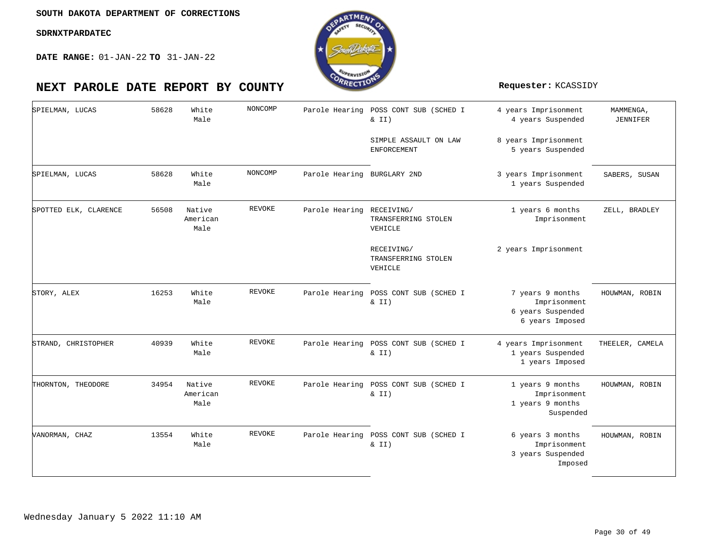

| SPIELMAN, LUCAS       | 58628 | White<br>Male              | NONCOMP       |                             | Parole Hearing POSS CONT SUB (SCHED I<br>$\&$ II) | 4 years Imprisonment<br>4 years Suspended                                | MAMMENGA,<br>JENNIFER |
|-----------------------|-------|----------------------------|---------------|-----------------------------|---------------------------------------------------|--------------------------------------------------------------------------|-----------------------|
|                       |       |                            |               |                             | SIMPLE ASSAULT ON LAW<br><b>ENFORCEMENT</b>       | 8 years Imprisonment<br>5 years Suspended                                |                       |
| SPIELMAN, LUCAS       | 58628 | White<br>Male              | NONCOMP       | Parole Hearing BURGLARY 2ND |                                                   | 3 years Imprisonment<br>1 years Suspended                                | SABERS, SUSAN         |
| SPOTTED ELK, CLARENCE | 56508 | Native<br>American<br>Male | REVOKE        | Parole Hearing RECEIVING/   | TRANSFERRING STOLEN<br>VEHICLE                    | 1 years 6 months<br>Imprisonment                                         | ZELL, BRADLEY         |
|                       |       |                            |               |                             | RECEIVING/<br>TRANSFERRING STOLEN<br>VEHICLE      | 2 years Imprisonment                                                     |                       |
| STORY, ALEX           | 16253 | White<br>Male              | REVOKE        |                             | Parole Hearing POSS CONT SUB (SCHED I<br>$\&$ II) | 7 years 9 months<br>Imprisonment<br>6 years Suspended<br>6 years Imposed | HOUWMAN, ROBIN        |
| STRAND, CHRISTOPHER   | 40939 | White<br>Male              | REVOKE        |                             | Parole Hearing POSS CONT SUB (SCHED I<br>$\&$ II) | 4 years Imprisonment<br>1 years Suspended<br>1 years Imposed             | THEELER, CAMELA       |
| THORNTON, THEODORE    | 34954 | Native<br>American<br>Male | <b>REVOKE</b> |                             | Parole Hearing POSS CONT SUB (SCHED I<br>$\&$ II) | 1 years 9 months<br>Imprisonment<br>1 years 9 months<br>Suspended        | HOUWMAN, ROBIN        |
| VANORMAN, CHAZ        | 13554 | White<br>Male              | <b>REVOKE</b> |                             | Parole Hearing POSS CONT SUB (SCHED I<br>$\&$ II) | 6 years 3 months<br>Imprisonment<br>3 years Suspended<br>Imposed         | HOUWMAN, ROBIN        |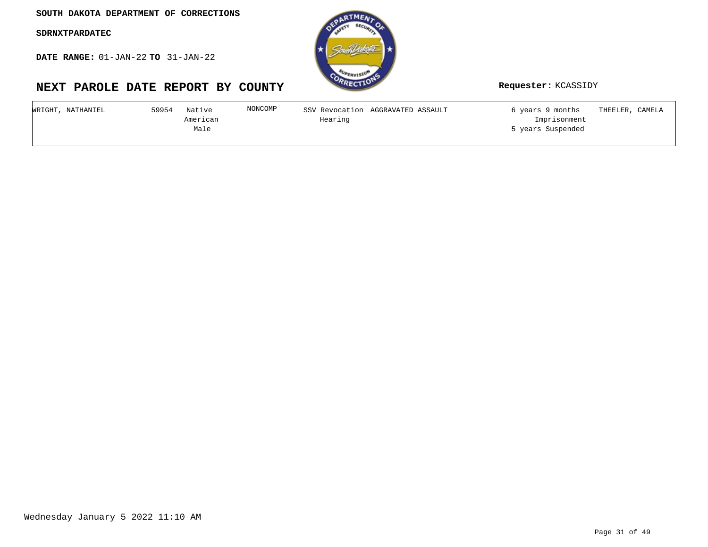**DATE RANGE:** 01-JAN-22 **TO** 31-JAN-22



| WRIGHT,<br>, NATHANIEL | 59954<br>Native | NONCOMP | SSV Revocation AGGRAVATED ASSAULT | 6 years 9 months  | THEELER,<br>, CAMELA |
|------------------------|-----------------|---------|-----------------------------------|-------------------|----------------------|
|                        | American        | Hearing |                                   | Imprisonment      |                      |
|                        | Male            |         |                                   | 5 years Suspended |                      |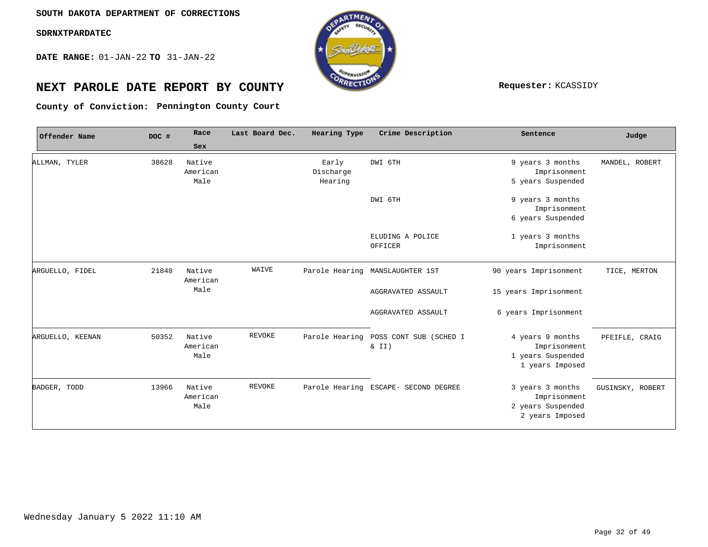**DATE RANGE:** 01-JAN-22 **TO** 31-JAN-22



# **NEXT PAROLE DATE REPORT BY COUNTY Requester:** KCASSIDY

**Pennington County Court County of Conviction:**

| Offender Name    | DOC # | Race                       | Last Board Dec. | Hearing Type                  | Crime Description                    | Sentence                                                                 | Judge            |
|------------------|-------|----------------------------|-----------------|-------------------------------|--------------------------------------|--------------------------------------------------------------------------|------------------|
|                  |       | Sex                        |                 |                               |                                      |                                                                          |                  |
| ALLMAN, TYLER    | 38628 | Native<br>American<br>Male |                 | Early<br>Discharge<br>Hearing | DWI 6TH                              | 9 years 3 months<br>Imprisonment<br>5 years Suspended                    | MANDEL, ROBERT   |
|                  |       |                            |                 |                               | DWI 6TH                              | 9 years 3 months<br>Imprisonment<br>6 years Suspended                    |                  |
|                  |       |                            |                 |                               | ELUDING A POLICE<br>OFFICER          | 1 years 3 months<br>Imprisonment                                         |                  |
| ARGUELLO, FIDEL  | 21848 | Native<br>American         | WAIVE           |                               | Parole Hearing MANSLAUGHTER 1ST      | 90 years Imprisonment                                                    | TICE, MERTON     |
|                  |       | Male                       |                 |                               | AGGRAVATED ASSAULT                   | 15 years Imprisonment                                                    |                  |
|                  |       |                            |                 |                               | AGGRAVATED ASSAULT                   | 6 years Imprisonment                                                     |                  |
| ARGUELLO, KEENAN | 50352 | Native<br>American<br>Male | <b>REVOKE</b>   | Parole Hearing                | POSS CONT SUB (SCHED I<br>$\&$ II)   | 4 years 9 months<br>Imprisonment<br>1 years Suspended<br>1 years Imposed | PFEIFLE, CRAIG   |
| BADGER, TODD     | 13966 | Native<br>American<br>Male | REVOKE          |                               | Parole Hearing ESCAPE- SECOND DEGREE | 3 years 3 months<br>Imprisonment<br>2 years Suspended<br>2 years Imposed | GUSINSKY, ROBERT |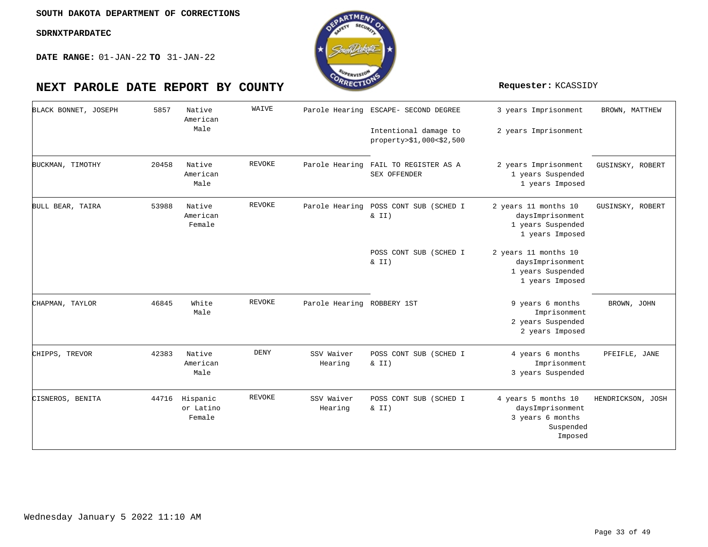**DATE RANGE:** 01-JAN-22 **TO** 31-JAN-22

| BLACK BONNET, JOSEPH | 5857  | Native<br>American              | WAIVE         |                            | Parole Hearing ESCAPE- SECOND DEGREE              | 3 years Imprisonment                                                                | BROWN, MATTHEW    |
|----------------------|-------|---------------------------------|---------------|----------------------------|---------------------------------------------------|-------------------------------------------------------------------------------------|-------------------|
|                      |       | Male                            |               |                            | Intentional damage to<br>property>\$1,000<\$2,500 | 2 years Imprisonment                                                                |                   |
| BUCKMAN, TIMOTHY     | 20458 | Native<br>American<br>Male      | <b>REVOKE</b> | Parole Hearing             | FAIL TO REGISTER AS A<br>SEX OFFENDER             | 2 years Imprisonment<br>1 years Suspended<br>1 years Imposed                        | GUSINSKY, ROBERT  |
| BULL BEAR, TAIRA     | 53988 | Native<br>American<br>Female    | REVOKE        | Parole Hearing             | POSS CONT SUB (SCHED I<br>& II)                   | 2 years 11 months 10<br>daysImprisonment<br>1 years Suspended<br>1 years Imposed    | GUSINSKY, ROBERT  |
|                      |       |                                 |               |                            | POSS CONT SUB (SCHED I<br>$\& II)$                | 2 years 11 months 10<br>daysImprisonment<br>1 years Suspended<br>1 years Imposed    |                   |
| CHAPMAN, TAYLOR      | 46845 | White<br>Male                   | <b>REVOKE</b> | Parole Hearing ROBBERY 1ST |                                                   | 9 years 6 months<br>Imprisonment<br>2 years Suspended<br>2 years Imposed            | BROWN, JOHN       |
| CHIPPS, TREVOR       | 42383 | Native<br>American<br>Male      | <b>DENY</b>   | SSV Waiver<br>Hearing      | POSS CONT SUB (SCHED I<br>$\&$ II)                | 4 years 6 months<br>Imprisonment<br>3 years Suspended                               | PFEIFLE, JANE     |
| CISNEROS, BENITA     | 44716 | Hispanic<br>or Latino<br>Female | <b>REVOKE</b> | SSV Waiver<br>Hearing      | POSS CONT SUB (SCHED I<br>& II)                   | 4 years 5 months 10<br>daysImprisonment<br>3 years 6 months<br>Suspended<br>Imposed | HENDRICKSON, JOSH |



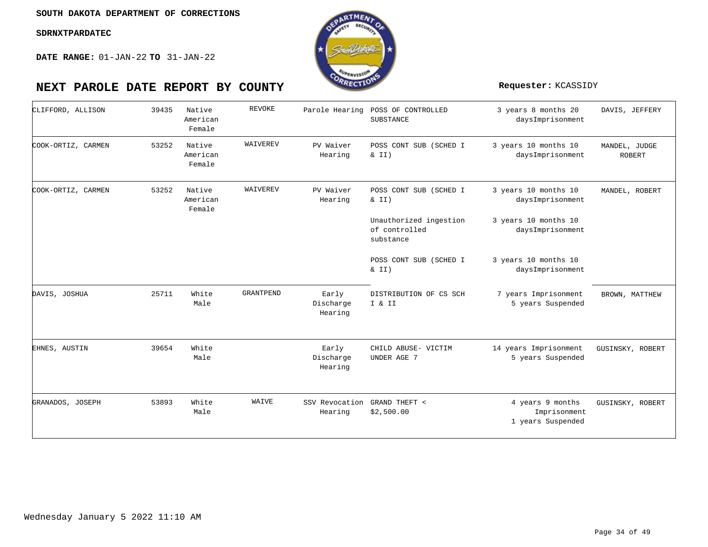

| CLIFFORD, ALLISON  | 39435 | Native<br>American<br>Female | REVOKE           |                               | Parole Hearing POSS OF CONTROLLED<br>SUBSTANCE       | 3 years 8 months 20<br>daysImprisonment               | DAVIS, JEFFERY                 |
|--------------------|-------|------------------------------|------------------|-------------------------------|------------------------------------------------------|-------------------------------------------------------|--------------------------------|
| COOK-ORTIZ, CARMEN | 53252 | Native<br>American<br>Female | WAIVEREV         | PV Waiver<br>Hearing          | POSS CONT SUB (SCHED I<br>& II)                      | 3 years 10 months 10<br>daysImprisonment              | MANDEL, JUDGE<br><b>ROBERT</b> |
| COOK-ORTIZ, CARMEN | 53252 | Native<br>American<br>Female | WAIVEREV         | PV Waiver<br>Hearing          | POSS CONT SUB (SCHED I<br>& II)                      | 3 years 10 months 10<br>daysImprisonment              | MANDEL, ROBERT                 |
|                    |       |                              |                  |                               | Unauthorized ingestion<br>of controlled<br>substance | 3 years 10 months 10<br>daysImprisonment              |                                |
|                    |       |                              |                  |                               | POSS CONT SUB (SCHED I<br>& II)                      | 3 years 10 months 10<br>daysImprisonment              |                                |
| DAVIS, JOSHUA      | 25711 | White<br>Male                | <b>GRANTPEND</b> | Early<br>Discharge<br>Hearing | DISTRIBUTION OF CS SCH<br>I & II                     | 7 years Imprisonment<br>5 years Suspended             | BROWN, MATTHEW                 |
| EHNES, AUSTIN      | 39654 | White<br>Male                |                  | Early<br>Discharge<br>Hearing | CHILD ABUSE- VICTIM<br>UNDER AGE 7                   | 14 years Imprisonment<br>5 years Suspended            | GUSINSKY, ROBERT               |
| GRANADOS, JOSEPH   | 53893 | White<br>Male                | WAIVE            | SSV Revocation<br>Hearing     | GRAND THEFT <<br>\$2,500.00                          | 4 years 9 months<br>Imprisonment<br>1 years Suspended | GUSINSKY, ROBERT               |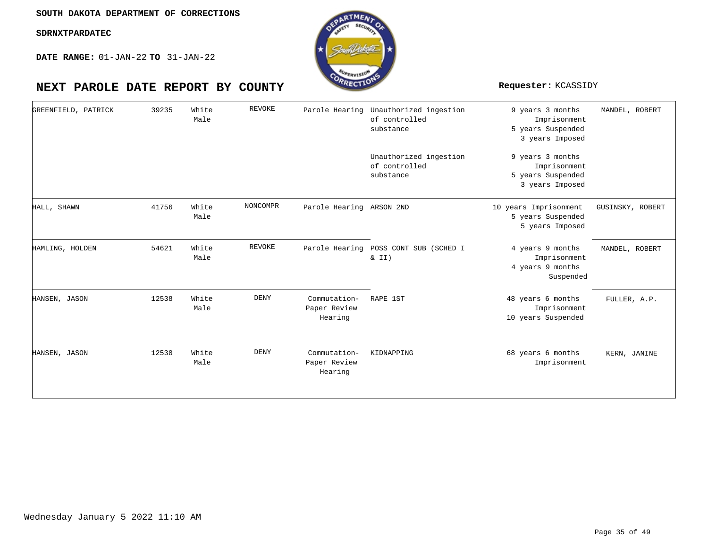

| GREENFIELD, PATRICK | 39235 | White<br>Male | REVOKE          |                                         | Parole Hearing Unauthorized ingestion<br>of controlled<br>substance | 9 years 3 months<br>Imprisonment<br>5 years Suspended<br>3 years Imposed | MANDEL, ROBERT   |
|---------------------|-------|---------------|-----------------|-----------------------------------------|---------------------------------------------------------------------|--------------------------------------------------------------------------|------------------|
|                     |       |               |                 |                                         | Unauthorized ingestion<br>of controlled<br>substance                | 9 years 3 months<br>Imprisonment<br>5 years Suspended<br>3 years Imposed |                  |
| HALL, SHAWN         | 41756 | White<br>Male | <b>NONCOMPR</b> | Parole Hearing ARSON 2ND                |                                                                     | 10 years Imprisonment<br>5 years Suspended<br>5 years Imposed            | GUSINSKY, ROBERT |
| HAMLING, HOLDEN     | 54621 | White<br>Male | <b>REVOKE</b>   | Parole Hearing                          | POSS CONT SUB (SCHED I<br>& II)                                     | 4 years 9 months<br>Imprisonment<br>4 years 9 months<br>Suspended        | MANDEL, ROBERT   |
| HANSEN, JASON       | 12538 | White<br>Male | DENY            | Commutation-<br>Paper Review<br>Hearing | RAPE 1ST                                                            | 48 years 6 months<br>Imprisonment<br>10 years Suspended                  | FULLER, A.P.     |
| HANSEN, JASON       | 12538 | White<br>Male | <b>DENY</b>     | Commutation-<br>Paper Review<br>Hearing | KIDNAPPING                                                          | 68 years 6 months<br>Imprisonment                                        | KERN, JANINE     |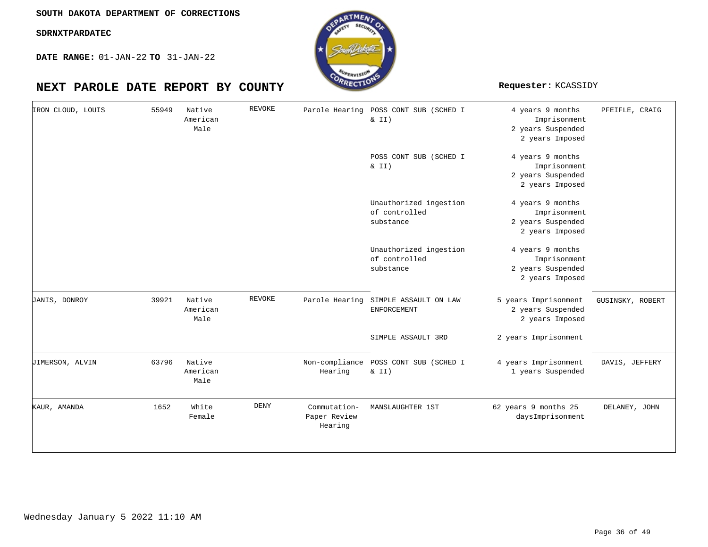**DATE RANGE:** 01-JAN-22 **TO** 31-JAN-22



| IRON CLOUD, LOUIS | 55949 | Native<br>American<br>Male | REVOKE | Parole Hearing                          | POSS CONT SUB (SCHED I<br>& II)                      | 4 years 9 months<br>Imprisonment<br>2 years Suspended<br>2 years Imposed | PFEIFLE, CRAIG   |
|-------------------|-------|----------------------------|--------|-----------------------------------------|------------------------------------------------------|--------------------------------------------------------------------------|------------------|
|                   |       |                            |        |                                         | POSS CONT SUB (SCHED I<br>$\& II)$                   | 4 years 9 months<br>Imprisonment<br>2 years Suspended<br>2 years Imposed |                  |
|                   |       |                            |        |                                         | Unauthorized ingestion<br>of controlled<br>substance | 4 years 9 months<br>Imprisonment<br>2 years Suspended<br>2 years Imposed |                  |
|                   |       |                            |        |                                         | Unauthorized ingestion<br>of controlled<br>substance | 4 years 9 months<br>Imprisonment<br>2 years Suspended<br>2 years Imposed |                  |
| JANIS, DONROY     | 39921 | Native<br>American<br>Male | REVOKE | Parole Hearing                          | SIMPLE ASSAULT ON LAW<br>ENFORCEMENT                 | 5 years Imprisonment<br>2 years Suspended<br>2 years Imposed             | GUSINSKY, ROBERT |
|                   |       |                            |        |                                         | SIMPLE ASSAULT 3RD                                   | 2 years Imprisonment                                                     |                  |
| JIMERSON, ALVIN   | 63796 | Native<br>American<br>Male |        | Hearing                                 | Non-compliance POSS CONT SUB (SCHED I<br>& II)       | 4 years Imprisonment<br>1 years Suspended                                | DAVIS, JEFFERY   |
| KAUR, AMANDA      | 1652  | White<br>Female            | DENY   | Commutation-<br>Paper Review<br>Hearing | MANSLAUGHTER 1ST                                     | 62 years 9 months 25<br>daysImprisonment                                 | DELANEY, JOHN    |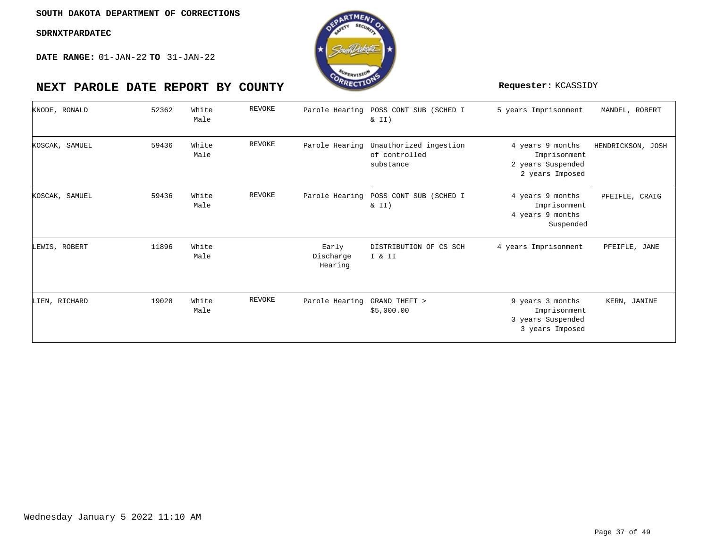

| KNODE, RONALD  | 52362 | White<br>Male | <b>REVOKE</b> | Parole Hearing                | POSS CONT SUB (SCHED I<br>$\&$ II)                   | 5 years Imprisonment                                                     | MANDEL, ROBERT    |
|----------------|-------|---------------|---------------|-------------------------------|------------------------------------------------------|--------------------------------------------------------------------------|-------------------|
| KOSCAK, SAMUEL | 59436 | White<br>Male | <b>REVOKE</b> | Parole Hearing                | Unauthorized ingestion<br>of controlled<br>substance | 4 years 9 months<br>Imprisonment<br>2 years Suspended<br>2 years Imposed | HENDRICKSON, JOSH |
| KOSCAK, SAMUEL | 59436 | White<br>Male | <b>REVOKE</b> | Parole Hearing                | POSS CONT SUB (SCHED I<br>$\& II)$                   | 4 years 9 months<br>Imprisonment<br>4 years 9 months<br>Suspended        | PFEIFLE, CRAIG    |
| LEWIS, ROBERT  | 11896 | White<br>Male |               | Early<br>Discharge<br>Hearing | DISTRIBUTION OF CS SCH<br>I & II                     | 4 years Imprisonment                                                     | PFEIFLE, JANE     |
| LIEN, RICHARD  | 19028 | White<br>Male | <b>REVOKE</b> | Parole Hearing                | GRAND THEFT ><br>\$5,000.00                          | 9 years 3 months<br>Imprisonment<br>3 years Suspended<br>3 years Imposed | KERN, JANINE      |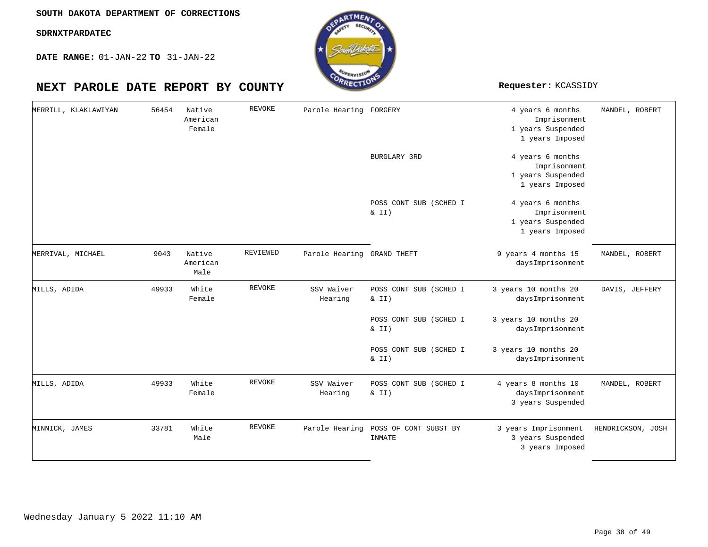**DATE RANGE:** 01-JAN-22 **TO** 31-JAN-22

| MERRILL, KLAKLAWIYAN | 56454 | Native<br>American<br>Female | REVOKE        | Parole Hearing FORGERY     |                                    | 4 years 6 months<br>Imprisonment<br>1 years Suspended<br>1 years Imposed | MANDEL, ROBERT    |
|----------------------|-------|------------------------------|---------------|----------------------------|------------------------------------|--------------------------------------------------------------------------|-------------------|
|                      |       |                              |               |                            | BURGLARY 3RD                       | 4 years 6 months<br>Imprisonment<br>1 years Suspended<br>1 years Imposed |                   |
|                      |       |                              |               |                            | POSS CONT SUB (SCHED I<br>& II)    | 4 years 6 months<br>Imprisonment<br>1 years Suspended<br>1 years Imposed |                   |
| MERRIVAL, MICHAEL    | 9043  | Native<br>American<br>Male   | REVIEWED      | Parole Hearing GRAND THEFT |                                    | 9 years 4 months 15<br>daysImprisonment                                  | MANDEL, ROBERT    |
| MILLS, ADIDA         | 49933 | White<br>Female              | <b>REVOKE</b> | SSV Waiver<br>Hearing      | POSS CONT SUB (SCHED I<br>$\&$ II) | 3 years 10 months 20<br>daysImprisonment                                 | DAVIS, JEFFERY    |
|                      |       |                              |               |                            | POSS CONT SUB (SCHED I<br>$\&$ II) | 3 years 10 months 20<br>daysImprisonment                                 |                   |
|                      |       |                              |               |                            | POSS CONT SUB (SCHED I<br>& II)    | 3 years 10 months 20<br>daysImprisonment                                 |                   |
| MILLS, ADIDA         | 49933 | White<br>Female              | REVOKE        | SSV Waiver<br>Hearing      | POSS CONT SUB (SCHED I<br>$\&$ II) | 4 years 8 months 10<br>daysImprisonment<br>3 years Suspended             | MANDEL, ROBERT    |
| MINNICK, JAMES       | 33781 | White<br>Male                | <b>REVOKE</b> | Parole Hearing             | POSS OF CONT SUBST BY<br>INMATE    | 3 years Imprisonment<br>3 years Suspended<br>3 years Imposed             | HENDRICKSON, JOSH |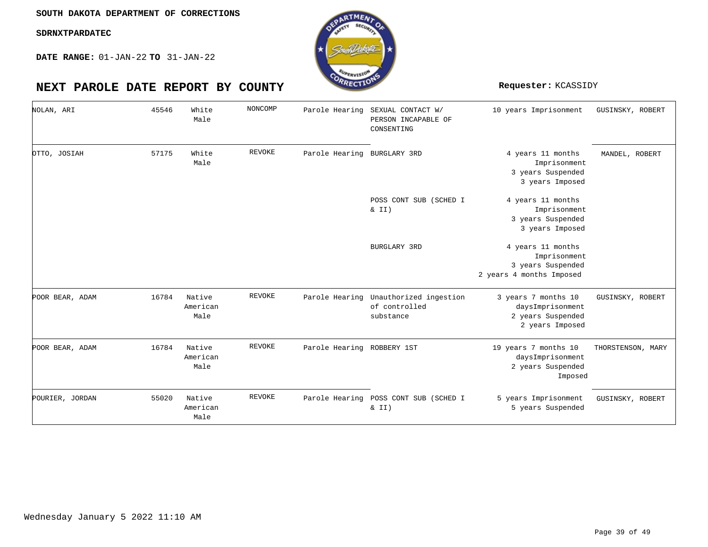**DATE RANGE:** 01-JAN-22 **TO** 31-JAN-22



| NOLAN, ARI      | 45546 | White<br>Male              | NONCOMP       | Parole Hearing              | SEXUAL CONTACT W/<br>PERSON INCAPABLE OF<br>CONSENTING              | 10 years Imprisonment                                                              | GUSINSKY, ROBERT  |
|-----------------|-------|----------------------------|---------------|-----------------------------|---------------------------------------------------------------------|------------------------------------------------------------------------------------|-------------------|
| OTTO, JOSIAH    | 57175 | White<br>Male              | REVOKE        | Parole Hearing BURGLARY 3RD |                                                                     | 4 years 11 months<br>Imprisonment<br>3 years Suspended<br>3 years Imposed          | MANDEL, ROBERT    |
|                 |       |                            |               |                             | POSS CONT SUB (SCHED I<br>$\&$ II)                                  | 4 years 11 months<br>Imprisonment<br>3 years Suspended<br>3 years Imposed          |                   |
|                 |       |                            |               |                             | BURGLARY 3RD                                                        | 4 years 11 months<br>Imprisonment<br>3 years Suspended<br>2 years 4 months Imposed |                   |
| POOR BEAR, ADAM | 16784 | Native<br>American<br>Male | <b>REVOKE</b> |                             | Parole Hearing Unauthorized ingestion<br>of controlled<br>substance | 3 years 7 months 10<br>daysImprisonment<br>2 years Suspended<br>2 years Imposed    | GUSINSKY, ROBERT  |
| POOR BEAR, ADAM | 16784 | Native<br>American<br>Male | <b>REVOKE</b> | Parole Hearing ROBBERY 1ST  |                                                                     | 19 years 7 months 10<br>daysImprisonment<br>2 years Suspended<br>Imposed           | THORSTENSON, MARY |
| POURIER, JORDAN | 55020 | Native<br>American<br>Male | <b>REVOKE</b> | Parole Hearing              | POSS CONT SUB (SCHED I<br>$\&$ II)                                  | 5 years Imprisonment<br>5 years Suspended                                          | GUSINSKY, ROBERT  |

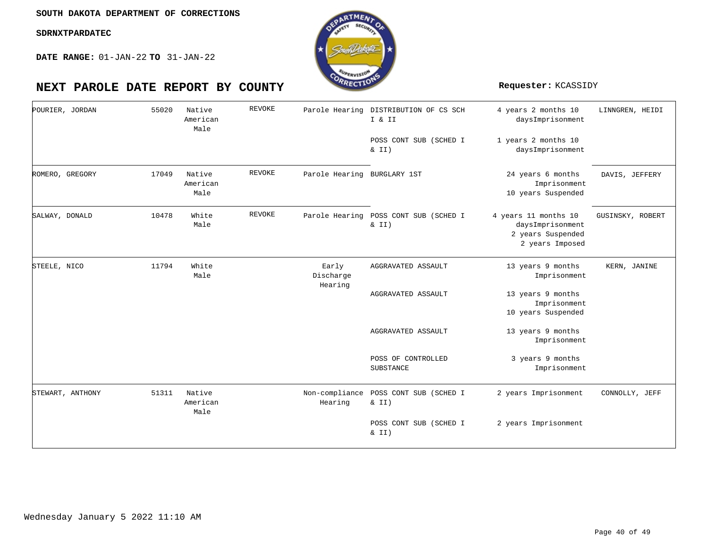**DATE RANGE:** 01-JAN-22 **TO** 31-JAN-22

# **NEXT PAROLE DATE REPORT BY COUNTY Requester:** KCASSIDY

| POURIER, JORDAN  | 55020 | Native<br>American<br>Male | <b>REVOKE</b> |                               | Parole Hearing DISTRIBUTION OF CS SCH<br>I & II<br>POSS CONT SUB (SCHED I<br>& II) | 4 years 2 months 10<br>daysImprisonment<br>1 years 2 months 10<br>daysImprisonment | LINNGREN, HEIDI  |
|------------------|-------|----------------------------|---------------|-------------------------------|------------------------------------------------------------------------------------|------------------------------------------------------------------------------------|------------------|
| ROMERO, GREGORY  | 17049 | Native<br>American<br>Male | <b>REVOKE</b> | Parole Hearing BURGLARY 1ST   |                                                                                    | 24 years 6 months<br>Imprisonment<br>10 years Suspended                            | DAVIS, JEFFERY   |
| SALWAY, DONALD   | 10478 | White<br>Male              | <b>REVOKE</b> |                               | Parole Hearing POSS CONT SUB (SCHED I<br>& II)                                     | 4 years 11 months 10<br>daysImprisonment<br>2 years Suspended<br>2 years Imposed   | GUSINSKY, ROBERT |
| STEELE, NICO     | 11794 | White<br>Male              |               | Early<br>Discharge<br>Hearing | AGGRAVATED ASSAULT                                                                 | 13 years 9 months<br>Imprisonment                                                  | KERN, JANINE     |
|                  |       |                            |               |                               | AGGRAVATED ASSAULT                                                                 | 13 years 9 months<br>Imprisonment<br>10 years Suspended                            |                  |
|                  |       |                            |               |                               | AGGRAVATED ASSAULT                                                                 | 13 years 9 months<br>Imprisonment                                                  |                  |
|                  |       |                            |               |                               | POSS OF CONTROLLED<br>SUBSTANCE                                                    | 3 years 9 months<br>Imprisonment                                                   |                  |
| STEWART, ANTHONY | 51311 | Native<br>American<br>Male |               | Hearing                       | Non-compliance POSS CONT SUB (SCHED I<br>$\&$ II)                                  | 2 years Imprisonment                                                               | CONNOLLY, JEFF   |
|                  |       |                            |               |                               | POSS CONT SUB (SCHED I<br>& II)                                                    | 2 years Imprisonment                                                               |                  |

oTME.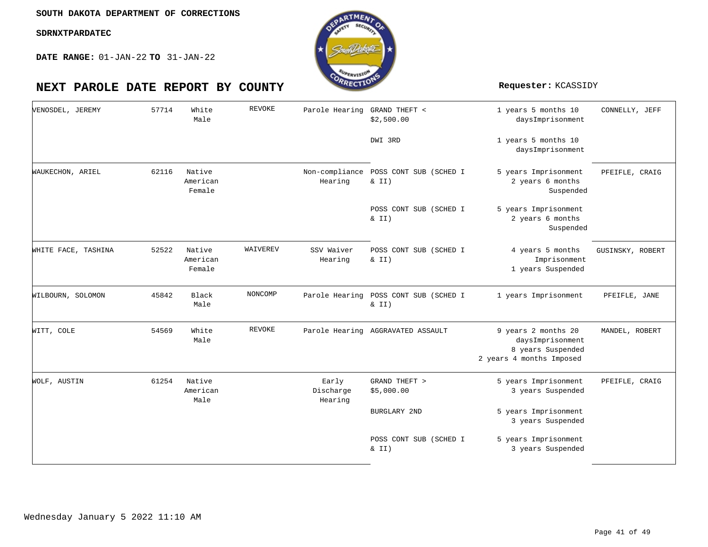

| VENOSDEL, JEREMY    | 57714 | White<br>Male                | REVOKE   | Parole Hearing GRAND THEFT <  | \$2,500.00                                     | 1 years 5 months 10<br>daysImprisonment                                                  | CONNELLY, JEFF   |
|---------------------|-------|------------------------------|----------|-------------------------------|------------------------------------------------|------------------------------------------------------------------------------------------|------------------|
|                     |       |                              |          |                               | DWI 3RD                                        | 1 years 5 months 10<br>daysImprisonment                                                  |                  |
| WAUKECHON, ARIEL    | 62116 | Native<br>American<br>Female |          | Non-compliance<br>Hearing     | POSS CONT SUB (SCHED I<br>& II)                | 5 years Imprisonment<br>2 years 6 months<br>Suspended                                    | PFEIFLE, CRAIG   |
|                     |       |                              |          |                               | POSS CONT SUB (SCHED I<br>$\& II)$             | 5 years Imprisonment<br>2 years 6 months<br>Suspended                                    |                  |
| WHITE FACE, TASHINA | 52522 | Native<br>American<br>Female | WAIVEREV | SSV Waiver<br>Hearing         | POSS CONT SUB (SCHED I<br>& II)                | 4 years 5 months<br>Imprisonment<br>1 years Suspended                                    | GUSINSKY, ROBERT |
| WILBOURN, SOLOMON   | 45842 | Black<br>Male                | NONCOMP  |                               | Parole Hearing POSS CONT SUB (SCHED I<br>& II) | 1 years Imprisonment                                                                     | PFEIFLE, JANE    |
| WITT, COLE          | 54569 | White<br>Male                | REVOKE   |                               | Parole Hearing AGGRAVATED ASSAULT              | 9 years 2 months 20<br>daysImprisonment<br>8 years Suspended<br>2 years 4 months Imposed | MANDEL, ROBERT   |
| WOLF, AUSTIN        | 61254 | Native<br>American<br>Male   |          | Early<br>Discharge<br>Hearing | GRAND THEFT ><br>\$5,000.00                    | 5 years Imprisonment<br>3 years Suspended                                                | PFEIFLE, CRAIG   |
|                     |       |                              |          |                               | BURGLARY 2ND                                   | 5 years Imprisonment<br>3 years Suspended                                                |                  |
|                     |       |                              |          |                               | POSS CONT SUB (SCHED I<br>$\&$ II)             | 5 years Imprisonment<br>3 years Suspended                                                |                  |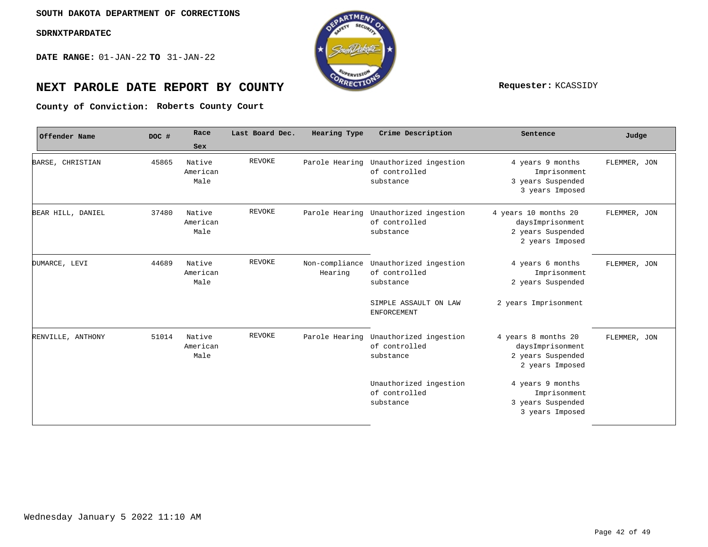**DATE RANGE:** 01-JAN-22 **TO** 31-JAN-22



# **NEXT PAROLE DATE REPORT BY COUNTY REPORT BY ALL PROPERTY REQUESTER:** KCASSIDY

**Roberts County Court County of Conviction:**

| Offender Name     | DOC # | Race<br>Sex                | Last Board Dec. | Hearing Type              | Crime Description                                                   | Sentence                                                                         | Judge        |
|-------------------|-------|----------------------------|-----------------|---------------------------|---------------------------------------------------------------------|----------------------------------------------------------------------------------|--------------|
| BARSE, CHRISTIAN  | 45865 | Native<br>American<br>Male | <b>REVOKE</b>   |                           | Parole Hearing Unauthorized ingestion<br>of controlled<br>substance | 4 years 9 months<br>Imprisonment<br>3 years Suspended<br>3 years Imposed         | FLEMMER, JON |
| BEAR HILL, DANIEL | 37480 | Native<br>American<br>Male | <b>REVOKE</b>   | Parole Hearing            | Unauthorized ingestion<br>of controlled<br>substance                | 4 years 10 months 20<br>daysImprisonment<br>2 years Suspended<br>2 years Imposed | FLEMMER, JON |
| DUMARCE, LEVI     | 44689 | Native<br>American<br>Male | <b>REVOKE</b>   | Non-compliance<br>Hearing | Unauthorized ingestion<br>of controlled<br>substance                | 4 years 6 months<br>Imprisonment<br>2 years Suspended                            | FLEMMER, JON |
|                   |       |                            |                 |                           | SIMPLE ASSAULT ON LAW<br>ENFORCEMENT                                | 2 years Imprisonment                                                             |              |
| RENVILLE, ANTHONY | 51014 | Native<br>American<br>Male | <b>REVOKE</b>   |                           | Parole Hearing Unauthorized ingestion<br>of controlled<br>substance | 4 years 8 months 20<br>daysImprisonment<br>2 years Suspended<br>2 years Imposed  | FLEMMER, JON |
|                   |       |                            |                 |                           | Unauthorized ingestion<br>of controlled<br>substance                | 4 years 9 months<br>Imprisonment<br>3 years Suspended<br>3 years Imposed         |              |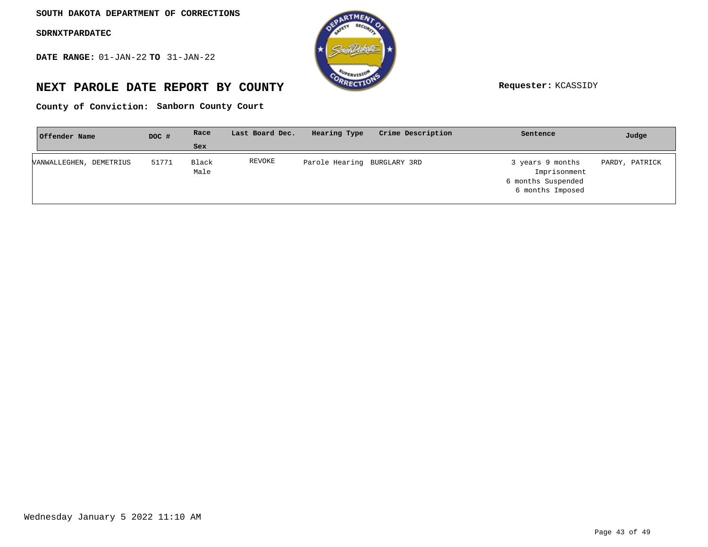**DATE RANGE:** 01-JAN-22 **TO** 31-JAN-22



# **NEXT PAROLE DATE REPORT BY COUNTY Requester:** KCASSIDY

County of Conviction: Sanborn County Court

| Offender Name              | DOC # | Race          | Last Board Dec. | Hearing Type                | Crime Description | Sentence                                                                   | Judge          |
|----------------------------|-------|---------------|-----------------|-----------------------------|-------------------|----------------------------------------------------------------------------|----------------|
|                            |       | <b>Sex</b>    |                 |                             |                   |                                                                            |                |
| DEMETRIUS<br>VANWALLEGHEN. | 51771 | Black<br>Male | REVOKE          | Parole Hearing BURGLARY 3RD |                   | 3 years 9 months<br>Imprisonment<br>6 months Suspended<br>6 months Imposed | PARDY, PATRICK |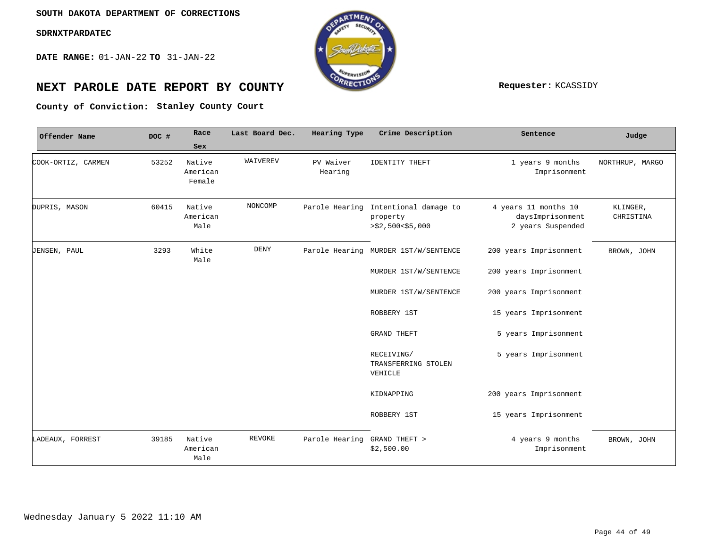**DATE RANGE:** 01-JAN-22 **TO** 31-JAN-22



# **NEXT PAROLE DATE REPORT BY COUNTY Requester:** KCASSIDY

County of Conviction: Stanley County Court

| Offender Name       | DOC # | Race                         | Last Board Dec. | Hearing Type         | Crime Description                                                         | Sentence                                                      | Judge                 |
|---------------------|-------|------------------------------|-----------------|----------------------|---------------------------------------------------------------------------|---------------------------------------------------------------|-----------------------|
|                     |       | Sex                          |                 |                      |                                                                           |                                                               |                       |
| COOK-ORTIZ, CARMEN  | 53252 | Native<br>American<br>Female | WAIVEREV        | PV Waiver<br>Hearing | <b>IDENTITY THEFT</b>                                                     | 1 years 9 months<br>Imprisonment                              | NORTHRUP, MARGO       |
| DUPRIS, MASON       | 60415 | Native<br>American<br>Male   | NONCOMP         |                      | Parole Hearing Intentional damage to<br>property<br>$>$ \$2,500 < \$5,000 | 4 years 11 months 10<br>daysImprisonment<br>2 years Suspended | KLINGER,<br>CHRISTINA |
| <b>JENSEN, PAUL</b> | 3293  | White<br>Male                | <b>DENY</b>     |                      | Parole Hearing MURDER 1ST/W/SENTENCE                                      | 200 years Imprisonment                                        | BROWN, JOHN           |
|                     |       |                              |                 |                      | MURDER 1ST/W/SENTENCE                                                     | 200 years Imprisonment                                        |                       |
|                     |       |                              |                 |                      | MURDER 1ST/W/SENTENCE                                                     | 200 years Imprisonment                                        |                       |
|                     |       |                              |                 |                      | ROBBERY 1ST                                                               | 15 years Imprisonment                                         |                       |
|                     |       |                              |                 |                      | <b>GRAND THEFT</b>                                                        | 5 years Imprisonment                                          |                       |
|                     |       |                              |                 |                      | RECEIVING/<br>TRANSFERRING STOLEN<br>VEHICLE                              | 5 years Imprisonment                                          |                       |
|                     |       |                              |                 |                      | KIDNAPPING                                                                | 200 years Imprisonment                                        |                       |
|                     |       |                              |                 |                      | ROBBERY 1ST                                                               | 15 years Imprisonment                                         |                       |
| LADEAUX, FORREST    | 39185 | Native<br>American<br>Male   | <b>REVOKE</b>   | Parole Hearing       | GRAND THEFT ><br>\$2,500.00                                               | 4 years 9 months<br>Imprisonment                              | BROWN, JOHN           |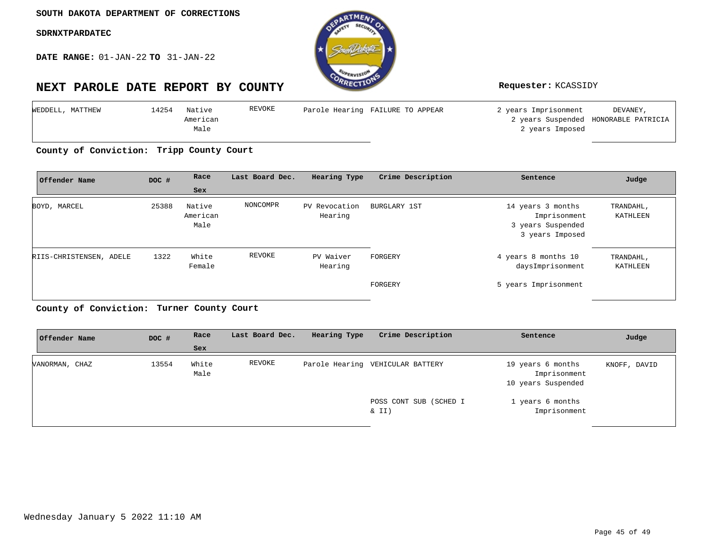**DATE RANGE:** 01-JAN-22 **TO** 31-JAN-22



| WEDDELL, MATTHEW | .4254 | Native   | REVOKE | Parole Hearing FAILURE TO APPEAR | 2 years Imprisonment | DEVANEY,                             |
|------------------|-------|----------|--------|----------------------------------|----------------------|--------------------------------------|
|                  |       | American |        |                                  |                      | 2 years Suspended HONORABLE PATRICIA |
|                  |       | Male     |        |                                  | 2 years Imposed      |                                      |

**Tripp County Court County of Conviction:**

| Offender Name           | DOC # | Race                       | Last Board Dec. | Hearing Type             | Crime Description | Sentence                                                                  | Judge                 |
|-------------------------|-------|----------------------------|-----------------|--------------------------|-------------------|---------------------------------------------------------------------------|-----------------------|
|                         |       | <b>Sex</b>                 |                 |                          |                   |                                                                           |                       |
| BOYD, MARCEL            | 25388 | Native<br>American<br>Male | NONCOMPR        | PV Revocation<br>Hearing | BURGLARY 1ST      | 14 years 3 months<br>Imprisonment<br>3 years Suspended<br>3 years Imposed | TRANDAHL,<br>KATHLEEN |
| RIIS-CHRISTENSEN, ADELE | 1322  | White<br>Female            | REVOKE          | PV Waiver<br>Hearing     | FORGERY           | 4 years 8 months 10<br>daysImprisonment                                   | TRANDAHL,<br>KATHLEEN |
|                         |       |                            |                 |                          | FORGERY           | 5 years Imprisonment                                                      |                       |

**Turner County Court County of Conviction:**

| Offender Name  | DOC # | Race          | Last Board Dec. | Hearing Type | Crime Description                | Sentence                                                | Judge        |
|----------------|-------|---------------|-----------------|--------------|----------------------------------|---------------------------------------------------------|--------------|
|                |       | Sex           |                 |              |                                  |                                                         |              |
| VANORMAN, CHAZ | 13554 | White<br>Male | REVOKE          |              | Parole Hearing VEHICULAR BATTERY | 19 years 6 months<br>Imprisonment<br>10 years Suspended | KNOFF, DAVID |
|                |       |               |                 |              | POSS CONT SUB (SCHED I<br>& II)  | 1 years 6 months<br>Imprisonment                        |              |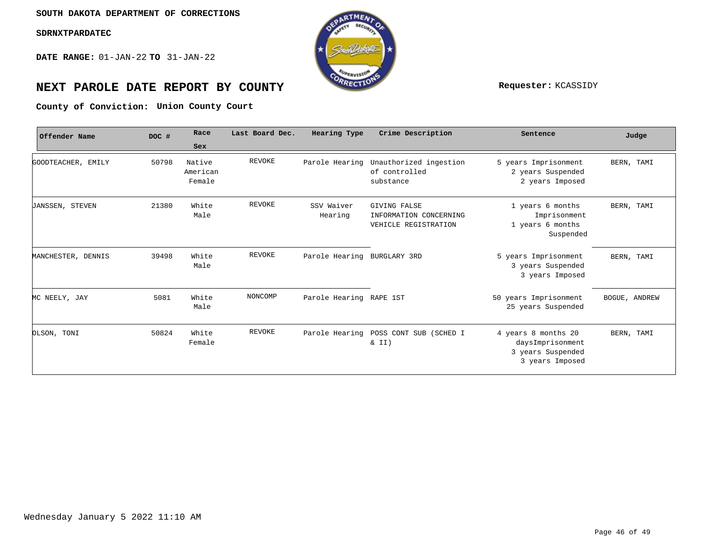**DATE RANGE:** 01-JAN-22 **TO** 31-JAN-22



# **NEXT PAROLE DATE REPORT BY COUNTY Requester:** KCASSIDY

**Union County Court County of Conviction:**

| Offender Name          | DOC # | Race                         | Last Board Dec. | <b>Hearing Type</b>         | Crime Description                                                     | Sentence                                                                        | Judge         |
|------------------------|-------|------------------------------|-----------------|-----------------------------|-----------------------------------------------------------------------|---------------------------------------------------------------------------------|---------------|
|                        |       | Sex                          |                 |                             |                                                                       |                                                                                 |               |
| GOODTEACHER, EMILY     | 50798 | Native<br>American<br>Female | REVOKE          | Parole Hearing              | Unauthorized ingestion<br>of controlled<br>substance                  | 5 years Imprisonment<br>2 years Suspended<br>2 years Imposed                    | BERN, TAMI    |
| <b>JANSSEN, STEVEN</b> | 21380 | White<br>Male                | REVOKE          | SSV Waiver<br>Hearing       | <b>GIVING FALSE</b><br>INFORMATION CONCERNING<br>VEHICLE REGISTRATION | 1 years 6 months<br>Imprisonment<br>1 years 6 months<br>Suspended               | BERN, TAMI    |
| MANCHESTER, DENNIS     | 39498 | White<br>Male                | REVOKE          | Parole Hearing BURGLARY 3RD |                                                                       | 5 years Imprisonment<br>3 years Suspended<br>3 years Imposed                    | BERN, TAMI    |
| MC NEELY, JAY          | 5081  | White<br>Male                | NONCOMP         | Parole Hearing RAPE 1ST     |                                                                       | 50 years Imprisonment<br>25 years Suspended                                     | BOGUE, ANDREW |
| OLSON, TONI            | 50824 | White<br>Female              | REVOKE          | Parole Hearing              | POSS CONT SUB (SCHED I<br>& II)                                       | 4 years 8 months 20<br>daysImprisonment<br>3 years Suspended<br>3 years Imposed | BERN, TAMI    |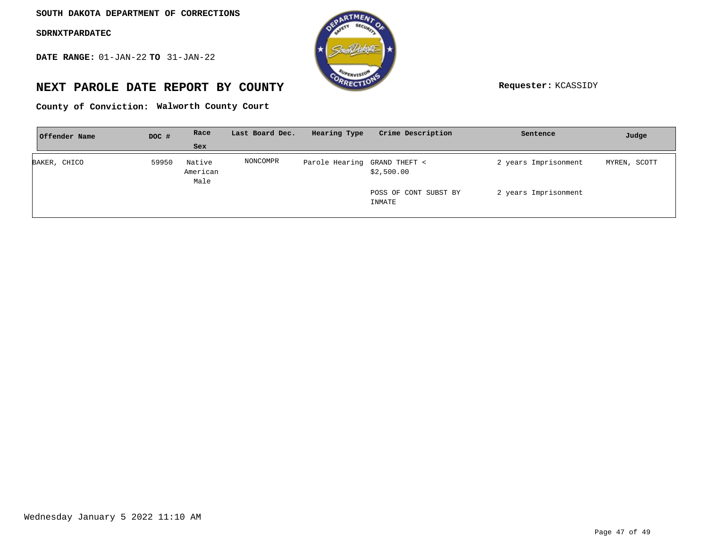**DATE RANGE:** 01-JAN-22 **TO** 31-JAN-22



# **NEXT PAROLE DATE REPORT BY COUNTY Requester:** KCASSIDY

**Walworth County Court County of Conviction:**

| Offender Name | DOC # | Race                       | Last Board Dec. | Hearing Type                 | Crime Description               | Sentence             | Judge        |
|---------------|-------|----------------------------|-----------------|------------------------------|---------------------------------|----------------------|--------------|
|               |       | Sex                        |                 |                              |                                 |                      |              |
| BAKER, CHICO  | 59950 | Native<br>American<br>Male | NONCOMPR        | Parole Hearing GRAND THEFT < | \$2,500.00                      | 2 years Imprisonment | MYREN, SCOTT |
|               |       |                            |                 |                              | POSS OF CONT SUBST BY<br>INMATE | 2 years Imprisonment |              |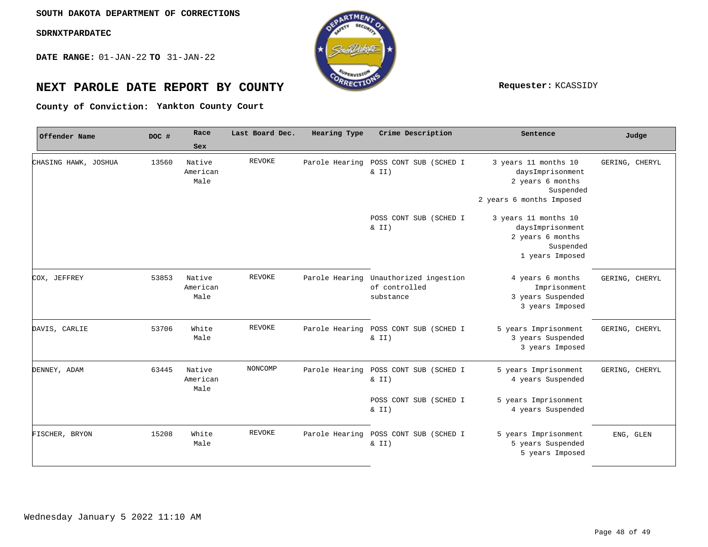**DATE RANGE:** 01-JAN-22 **TO** 31-JAN-22



# **NEXT PAROLE DATE REPORT BY COUNTY REPORT BY ALL PROPERTY REQUESTER:** KCASSIDY

**Yankton County Court County of Conviction:**

| Offender Name        | DOC # | Race                       | Last Board Dec. | Hearing Type   | Crime Description                                                   | Sentence                                                                                              | Judge          |
|----------------------|-------|----------------------------|-----------------|----------------|---------------------------------------------------------------------|-------------------------------------------------------------------------------------------------------|----------------|
|                      |       | Sex                        |                 |                |                                                                     |                                                                                                       |                |
| CHASING HAWK, JOSHUA | 13560 | Native<br>American<br>Male | <b>REVOKE</b>   | Parole Hearing | POSS CONT SUB (SCHED I<br>& II)                                     | 3 years 11 months 10<br>daysImprisonment<br>2 years 6 months<br>Suspended<br>2 years 6 months Imposed | GERING, CHERYL |
|                      |       |                            |                 |                | POSS CONT SUB (SCHED I<br>$\& II)$                                  | 3 years 11 months 10<br>daysImprisonment<br>2 years 6 months<br>Suspended<br>1 years Imposed          |                |
| COX, JEFFREY         | 53853 | Native<br>American<br>Male | <b>REVOKE</b>   |                | Parole Hearing Unauthorized ingestion<br>of controlled<br>substance | 4 years 6 months<br>Imprisonment<br>3 years Suspended<br>3 years Imposed                              | GERING, CHERYL |
| DAVIS, CARLIE        | 53706 | White<br>Male              | <b>REVOKE</b>   |                | Parole Hearing POSS CONT SUB (SCHED I<br>$\&$ II)                   | 5 years Imprisonment<br>3 years Suspended<br>3 years Imposed                                          | GERING, CHERYL |
| DENNEY, ADAM         | 63445 | Native<br>American<br>Male | NONCOMP         | Parole Hearing | POSS CONT SUB (SCHED I<br>$\& II)$                                  | 5 years Imprisonment<br>4 years Suspended                                                             | GERING, CHERYL |
|                      |       |                            |                 |                | POSS CONT SUB (SCHED I<br>$\& II)$                                  | 5 years Imprisonment<br>4 years Suspended                                                             |                |
| FISCHER, BRYON       | 15208 | White<br>Male              | <b>REVOKE</b>   | Parole Hearing | POSS CONT SUB (SCHED I<br>& II)                                     | 5 years Imprisonment<br>5 years Suspended<br>5 years Imposed                                          | ENG, GLEN      |